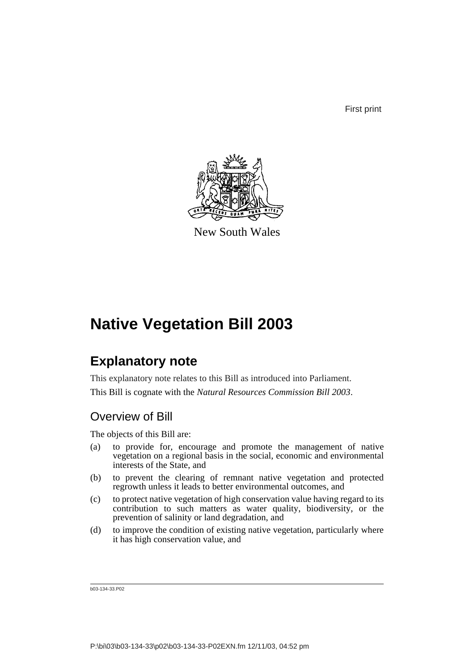First print



New South Wales

# **Native Vegetation Bill 2003**

## **Explanatory note**

This explanatory note relates to this Bill as introduced into Parliament. This Bill is cognate with the *Natural Resources Commission Bill 2003*.

## Overview of Bill

The objects of this Bill are:

- (a) to provide for, encourage and promote the management of native vegetation on a regional basis in the social, economic and environmental interests of the State, and
- (b) to prevent the clearing of remnant native vegetation and protected regrowth unless it leads to better environmental outcomes, and
- (c) to protect native vegetation of high conservation value having regard to its contribution to such matters as water quality, biodiversity, or the prevention of salinity or land degradation, and
- (d) to improve the condition of existing native vegetation, particularly where it has high conservation value, and

b03-134-33.P02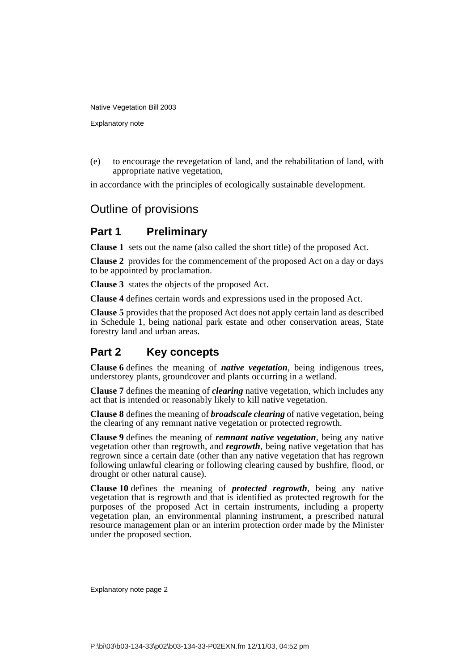Explanatory note

(e) to encourage the revegetation of land, and the rehabilitation of land, with appropriate native vegetation,

in accordance with the principles of ecologically sustainable development.

## Outline of provisions

## **Part 1 Preliminary**

**Clause 1** sets out the name (also called the short title) of the proposed Act.

**Clause 2** provides for the commencement of the proposed Act on a day or days to be appointed by proclamation.

**Clause 3** states the objects of the proposed Act.

**Clause 4** defines certain words and expressions used in the proposed Act.

**Clause 5** provides that the proposed Act does not apply certain land as described in Schedule 1, being national park estate and other conservation areas, State forestry land and urban areas.

## **Part 2 Key concepts**

**Clause 6** defines the meaning of *native vegetation*, being indigenous trees, understorey plants, groundcover and plants occurring in a wetland.

**Clause 7** defines the meaning of *clearing* native vegetation, which includes any act that is intended or reasonably likely to kill native vegetation.

**Clause 8** defines the meaning of *broadscale clearing* of native vegetation, being the clearing of any remnant native vegetation or protected regrowth.

**Clause 9** defines the meaning of *remnant native vegetation*, being any native vegetation other than regrowth, and *regrowth*, being native vegetation that has regrown since a certain date (other than any native vegetation that has regrown following unlawful clearing or following clearing caused by bushfire, flood, or drought or other natural cause).

**Clause 10** defines the meaning of *protected regrowth*, being any native vegetation that is regrowth and that is identified as protected regrowth for the purposes of the proposed Act in certain instruments, including a property vegetation plan, an environmental planning instrument, a prescribed natural resource management plan or an interim protection order made by the Minister under the proposed section.

Explanatory note page 2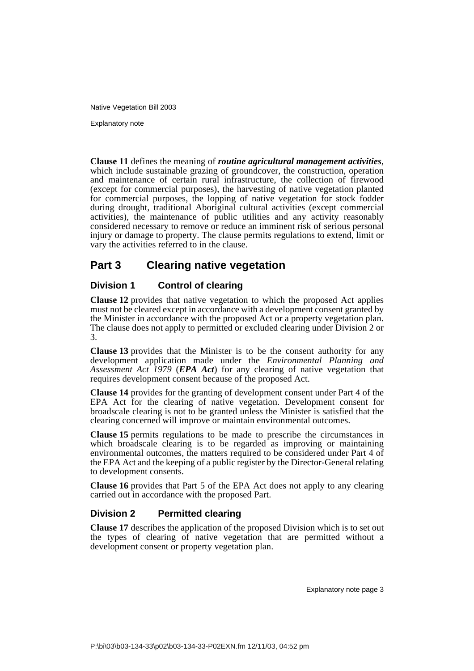Explanatory note

**Clause 11** defines the meaning of *routine agricultural management activities*, which include sustainable grazing of groundcover, the construction, operation and maintenance of certain rural infrastructure, the collection of firewood (except for commercial purposes), the harvesting of native vegetation planted for commercial purposes, the lopping of native vegetation for stock fodder during drought, traditional Aboriginal cultural activities (except commercial activities), the maintenance of public utilities and any activity reasonably considered necessary to remove or reduce an imminent risk of serious personal injury or damage to property. The clause permits regulations to extend, limit or vary the activities referred to in the clause.

## **Part 3 Clearing native vegetation**

## **Division 1 Control of clearing**

**Clause 12** provides that native vegetation to which the proposed Act applies must not be cleared except in accordance with a development consent granted by the Minister in accordance with the proposed Act or a property vegetation plan. The clause does not apply to permitted or excluded clearing under Division 2 or 3.

**Clause 13** provides that the Minister is to be the consent authority for any development application made under the *Environmental Planning and Assessment Act 1979* (*EPA Act*) for any clearing of native vegetation that requires development consent because of the proposed Act.

**Clause 14** provides for the granting of development consent under Part 4 of the EPA Act for the clearing of native vegetation. Development consent for broadscale clearing is not to be granted unless the Minister is satisfied that the clearing concerned will improve or maintain environmental outcomes.

**Clause 15** permits regulations to be made to prescribe the circumstances in which broadscale clearing is to be regarded as improving or maintaining environmental outcomes, the matters required to be considered under Part 4 of the EPA Act and the keeping of a public register by the Director-General relating to development consents.

**Clause 16** provides that Part 5 of the EPA Act does not apply to any clearing carried out in accordance with the proposed Part.

## **Division 2 Permitted clearing**

**Clause 17** describes the application of the proposed Division which is to set out the types of clearing of native vegetation that are permitted without a development consent or property vegetation plan.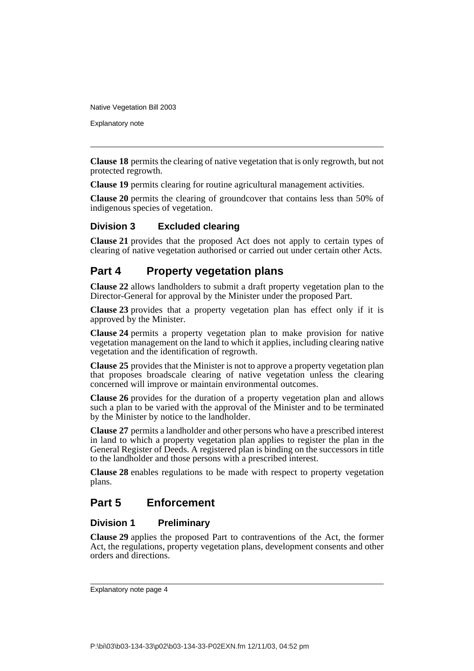Explanatory note

**Clause 18** permits the clearing of native vegetation that is only regrowth, but not protected regrowth.

**Clause 19** permits clearing for routine agricultural management activities.

**Clause 20** permits the clearing of groundcover that contains less than 50% of indigenous species of vegetation.

#### **Division 3 Excluded clearing**

**Clause 21** provides that the proposed Act does not apply to certain types of clearing of native vegetation authorised or carried out under certain other Acts.

## **Part 4 Property vegetation plans**

**Clause 22** allows landholders to submit a draft property vegetation plan to the Director-General for approval by the Minister under the proposed Part.

**Clause 23** provides that a property vegetation plan has effect only if it is approved by the Minister.

**Clause 24** permits a property vegetation plan to make provision for native vegetation management on the land to which it applies, including clearing native vegetation and the identification of regrowth.

**Clause 25** provides that the Minister is not to approve a property vegetation plan that proposes broadscale clearing of native vegetation unless the clearing concerned will improve or maintain environmental outcomes.

**Clause 26** provides for the duration of a property vegetation plan and allows such a plan to be varied with the approval of the Minister and to be terminated by the Minister by notice to the landholder.

**Clause 27** permits a landholder and other persons who have a prescribed interest in land to which a property vegetation plan applies to register the plan in the General Register of Deeds. A registered plan is binding on the successors in title to the landholder and those persons with a prescribed interest.

**Clause 28** enables regulations to be made with respect to property vegetation plans.

## **Part 5 Enforcement**

#### **Division 1 Preliminary**

**Clause 29** applies the proposed Part to contraventions of the Act, the former Act, the regulations, property vegetation plans, development consents and other orders and directions.

Explanatory note page 4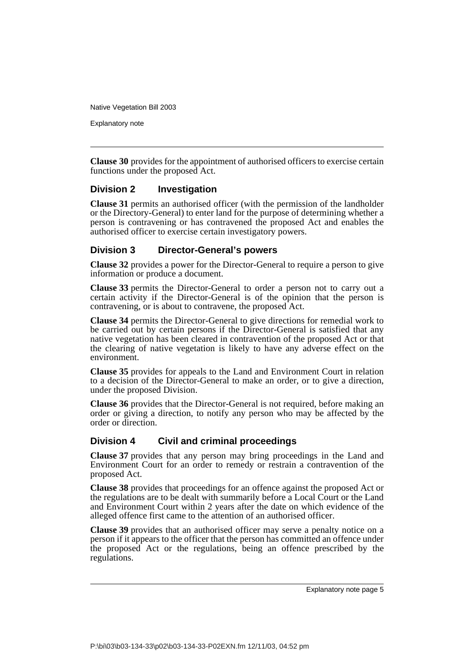Explanatory note

**Clause 30** provides for the appointment of authorised officers to exercise certain functions under the proposed Act.

#### **Division 2 Investigation**

**Clause 31** permits an authorised officer (with the permission of the landholder or the Directory-General) to enter land for the purpose of determining whether a person is contravening or has contravened the proposed Act and enables the authorised officer to exercise certain investigatory powers.

#### **Division 3 Director-General's powers**

**Clause 32** provides a power for the Director-General to require a person to give information or produce a document.

**Clause 33** permits the Director-General to order a person not to carry out a certain activity if the Director-General is of the opinion that the person is contravening, or is about to contravene, the proposed Act.

**Clause 34** permits the Director-General to give directions for remedial work to be carried out by certain persons if the Director-General is satisfied that any native vegetation has been cleared in contravention of the proposed Act or that the clearing of native vegetation is likely to have any adverse effect on the environment.

**Clause 35** provides for appeals to the Land and Environment Court in relation to a decision of the Director-General to make an order, or to give a direction, under the proposed Division.

**Clause 36** provides that the Director-General is not required, before making an order or giving a direction, to notify any person who may be affected by the order or direction.

#### **Division 4 Civil and criminal proceedings**

**Clause 37** provides that any person may bring proceedings in the Land and Environment Court for an order to remedy or restrain a contravention of the proposed Act.

**Clause 38** provides that proceedings for an offence against the proposed Act or the regulations are to be dealt with summarily before a Local Court or the Land and Environment Court within 2 years after the date on which evidence of the alleged offence first came to the attention of an authorised officer.

**Clause 39** provides that an authorised officer may serve a penalty notice on a person if it appears to the officer that the person has committed an offence under the proposed Act or the regulations, being an offence prescribed by the regulations.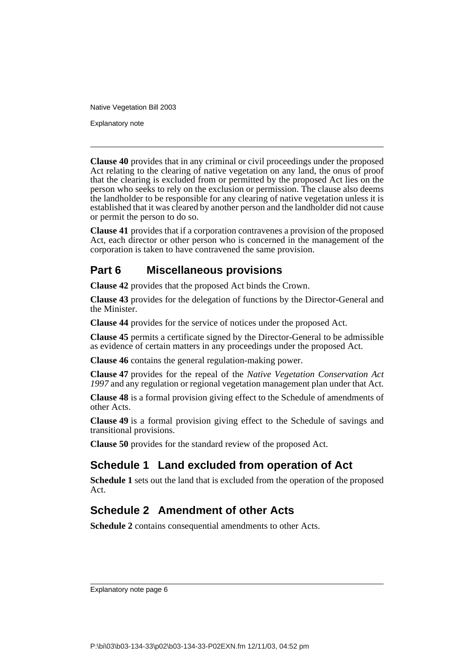Explanatory note

**Clause 40** provides that in any criminal or civil proceedings under the proposed Act relating to the clearing of native vegetation on any land, the onus of proof that the clearing is excluded from or permitted by the proposed Act lies on the person who seeks to rely on the exclusion or permission. The clause also deems the landholder to be responsible for any clearing of native vegetation unless it is established that it was cleared by another person and the landholder did not cause or permit the person to do so.

**Clause 41** provides that if a corporation contravenes a provision of the proposed Act, each director or other person who is concerned in the management of the corporation is taken to have contravened the same provision.

## **Part 6 Miscellaneous provisions**

**Clause 42** provides that the proposed Act binds the Crown.

**Clause 43** provides for the delegation of functions by the Director-General and the Minister.

**Clause 44** provides for the service of notices under the proposed Act.

**Clause 45** permits a certificate signed by the Director-General to be admissible as evidence of certain matters in any proceedings under the proposed Act.

**Clause 46** contains the general regulation-making power.

**Clause 47** provides for the repeal of the *Native Vegetation Conservation Act 1997* and any regulation or regional vegetation management plan under that Act.

**Clause 48** is a formal provision giving effect to the Schedule of amendments of other Acts.

**Clause 49** is a formal provision giving effect to the Schedule of savings and transitional provisions.

**Clause 50** provides for the standard review of the proposed Act.

## **Schedule 1 Land excluded from operation of Act**

**Schedule 1** sets out the land that is excluded from the operation of the proposed Act.

## **Schedule 2 Amendment of other Acts**

**Schedule 2** contains consequential amendments to other Acts.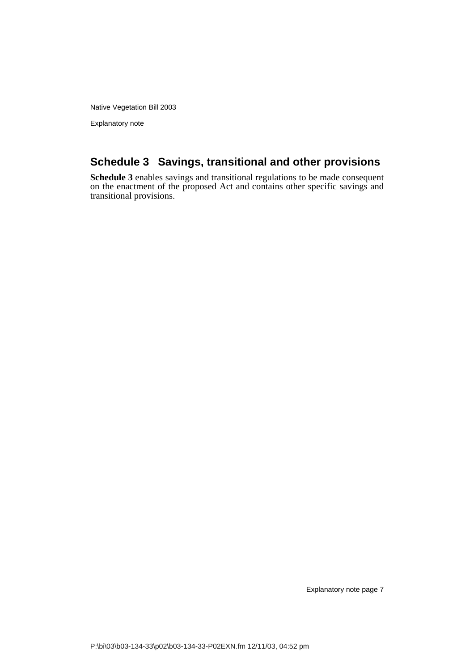Explanatory note

## **Schedule 3 Savings, transitional and other provisions**

**Schedule 3** enables savings and transitional regulations to be made consequent on the enactment of the proposed Act and contains other specific savings and transitional provisions.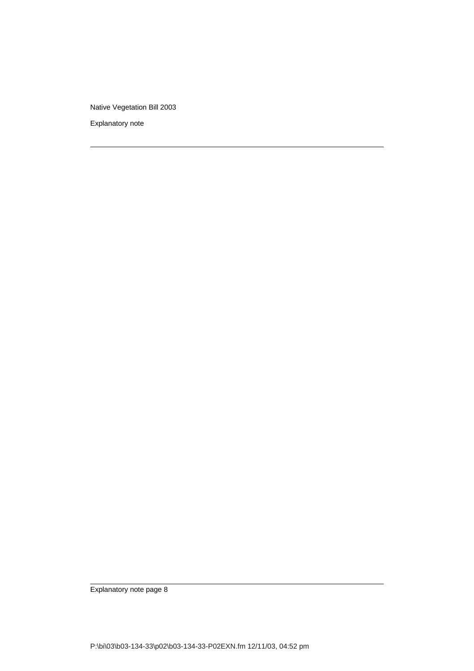Explanatory note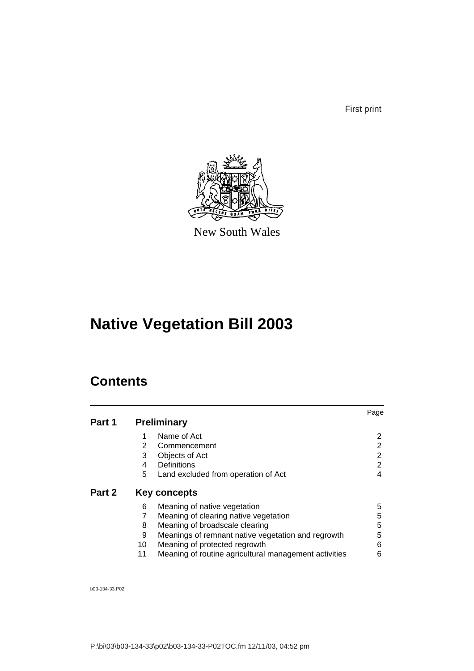First print



New South Wales

# **Native Vegetation Bill 2003**

## **Contents**

|        |    |                                                       | Page           |
|--------|----|-------------------------------------------------------|----------------|
| Part 1 |    | <b>Preliminary</b>                                    |                |
|        |    | Name of Act                                           | 2              |
|        | 2  | Commencement                                          | 2              |
|        | 3  | Objects of Act                                        | $\overline{2}$ |
|        | 4  | <b>Definitions</b>                                    | 2              |
|        | 5  | Land excluded from operation of Act                   | 4              |
| Part 2 |    | Key concepts                                          |                |
|        | 6  | Meaning of native vegetation                          | 5              |
|        |    | Meaning of clearing native vegetation                 | 5              |
|        | 8  | Meaning of broadscale clearing                        | 5              |
|        | 9  | Meanings of remnant native vegetation and regrowth    | 5              |
|        | 10 | Meaning of protected regrowth                         | 6              |
|        | 11 | Meaning of routine agricultural management activities | 6              |

b03-134-33.P02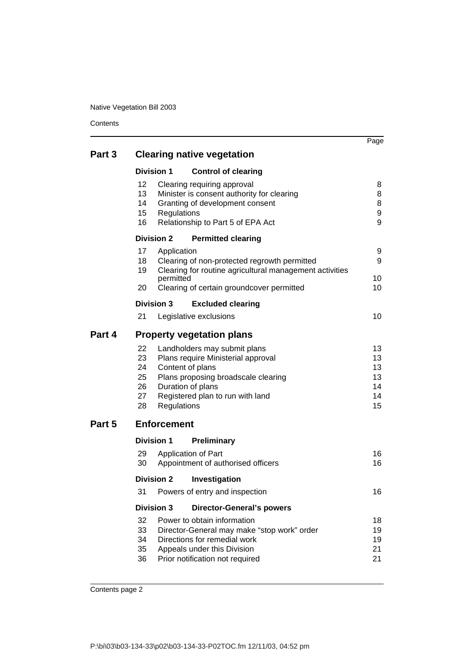**Contents** 

|        |                                        |                                                      |                                                                                                                                                                              | Page                                   |
|--------|----------------------------------------|------------------------------------------------------|------------------------------------------------------------------------------------------------------------------------------------------------------------------------------|----------------------------------------|
| Part 3 |                                        |                                                      | <b>Clearing native vegetation</b>                                                                                                                                            |                                        |
|        | <b>Division 1</b>                      |                                                      | <b>Control of clearing</b>                                                                                                                                                   |                                        |
|        | 12<br>13<br>14<br>15<br>16             | Regulations                                          | Clearing requiring approval<br>Minister is consent authority for clearing<br>Granting of development consent<br>Relationship to Part 5 of EPA Act                            | 8<br>8<br>8<br>9<br>9                  |
|        | <b>Division 2</b>                      |                                                      | <b>Permitted clearing</b>                                                                                                                                                    |                                        |
|        | 17<br>18<br>19                         | Application                                          | Clearing of non-protected regrowth permitted<br>Clearing for routine agricultural management activities                                                                      | 9<br>9                                 |
|        | 20                                     | permitted                                            | Clearing of certain groundcover permitted                                                                                                                                    | 10<br>10                               |
|        | <b>Division 3</b>                      |                                                      | <b>Excluded clearing</b>                                                                                                                                                     |                                        |
|        | 21                                     |                                                      | Legislative exclusions                                                                                                                                                       | 10                                     |
| Part 4 |                                        |                                                      | <b>Property vegetation plans</b>                                                                                                                                             |                                        |
|        | 22<br>23<br>24<br>25<br>26<br>27<br>28 | Content of plans<br>Duration of plans<br>Regulations | Landholders may submit plans<br>Plans require Ministerial approval<br>Plans proposing broadscale clearing<br>Registered plan to run with land                                | 13<br>13<br>13<br>13<br>14<br>14<br>15 |
| Part 5 |                                        | <b>Enforcement</b>                                   |                                                                                                                                                                              |                                        |
|        | <b>Division 1</b>                      |                                                      | <b>Preliminary</b>                                                                                                                                                           |                                        |
|        | 29<br>30                               |                                                      | Application of Part<br>Appointment of authorised officers                                                                                                                    | 16<br>16                               |
|        | <b>Division 2</b>                      |                                                      | Investigation                                                                                                                                                                |                                        |
|        | 31                                     |                                                      | Powers of entry and inspection                                                                                                                                               | 16                                     |
|        | <b>Division 3</b>                      |                                                      | <b>Director-General's powers</b>                                                                                                                                             |                                        |
|        | 32<br>33<br>34<br>35<br>36             |                                                      | Power to obtain information<br>Director-General may make "stop work" order<br>Directions for remedial work<br>Appeals under this Division<br>Prior notification not required | 18<br>19<br>19<br>21<br>21             |

Contents page 2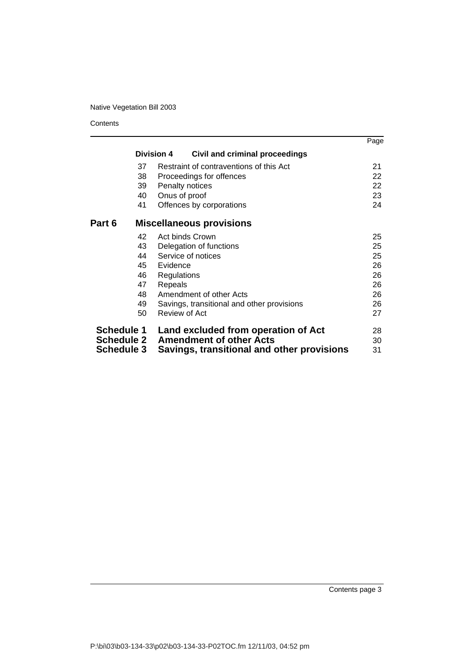**Contents** 

|                                        |    |                                                                       | Page     |
|----------------------------------------|----|-----------------------------------------------------------------------|----------|
|                                        |    | <b>Division 4</b><br><b>Civil and criminal proceedings</b>            |          |
|                                        | 37 | Restraint of contraventions of this Act                               | 21       |
|                                        | 38 | Proceedings for offences                                              | 22       |
|                                        | 39 | Penalty notices                                                       | 22       |
|                                        | 40 | Onus of proof                                                         | 23       |
|                                        | 41 | Offences by corporations                                              | 24       |
| Part 6                                 |    | <b>Miscellaneous provisions</b>                                       |          |
|                                        | 42 | Act binds Crown                                                       | 25       |
|                                        | 43 | Delegation of functions                                               | 25       |
|                                        | 44 | Service of notices                                                    | 25       |
|                                        |    | 45 Evidence                                                           | 26       |
|                                        | 46 | Regulations                                                           | 26       |
|                                        | 47 | Repeals                                                               | 26       |
|                                        | 48 | Amendment of other Acts                                               | 26       |
|                                        | 49 | Savings, transitional and other provisions                            | 26       |
|                                        | 50 | Review of Act                                                         | 27       |
| <b>Schedule 1</b><br><b>Schedule 2</b> |    | Land excluded from operation of Act<br><b>Amendment of other Acts</b> | 28<br>30 |
| <b>Schedule 3</b>                      |    | Savings, transitional and other provisions                            | 31       |

Contents page 3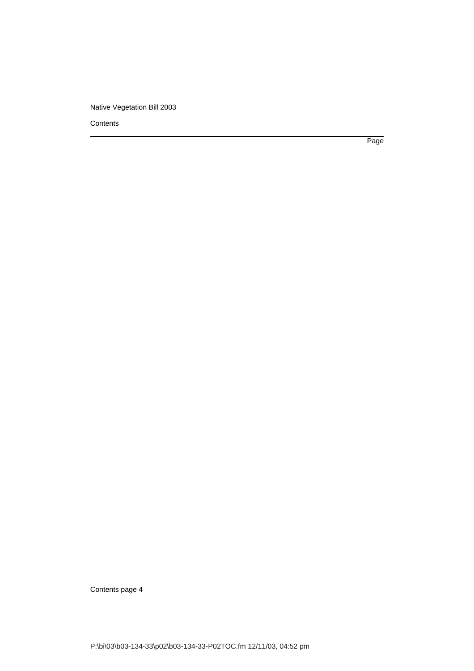**Contents** 

Page

Contents page 4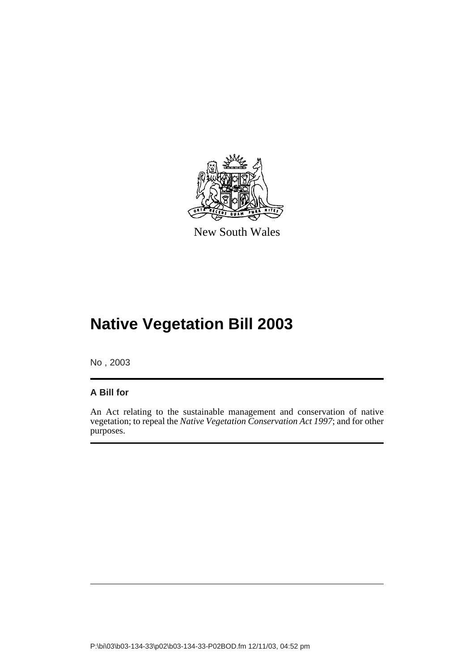

New South Wales

# **Native Vegetation Bill 2003**

No , 2003

## **A Bill for**

An Act relating to the sustainable management and conservation of native vegetation; to repeal the *Native Vegetation Conservation Act 1997*; and for other purposes.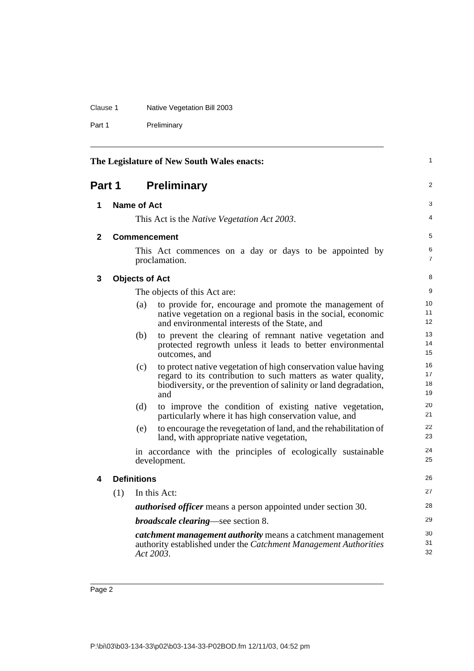#### Clause 1 Native Vegetation Bill 2003

Part 1 Preliminary

|        |     |                       | The Legislature of New South Wales enacts:                                                                                                                                                                | 1                    |
|--------|-----|-----------------------|-----------------------------------------------------------------------------------------------------------------------------------------------------------------------------------------------------------|----------------------|
| Part 1 |     |                       | <b>Preliminary</b>                                                                                                                                                                                        | 2                    |
| 1      |     | <b>Name of Act</b>    |                                                                                                                                                                                                           | 3                    |
|        |     |                       | This Act is the <i>Native Vegetation Act 2003</i> .                                                                                                                                                       | 4                    |
| 2      |     |                       | <b>Commencement</b>                                                                                                                                                                                       | 5                    |
|        |     |                       | This Act commences on a day or days to be appointed by<br>proclamation.                                                                                                                                   | 6<br>$\overline{7}$  |
| 3      |     | <b>Objects of Act</b> |                                                                                                                                                                                                           | 8                    |
|        |     |                       | The objects of this Act are:                                                                                                                                                                              | 9                    |
|        |     | (a)                   | to provide for, encourage and promote the management of<br>native vegetation on a regional basis in the social, economic<br>and environmental interests of the State, and                                 | 10<br>11<br>12       |
|        |     | (b)                   | to prevent the clearing of remnant native vegetation and<br>protected regrowth unless it leads to better environmental<br>outcomes, and                                                                   | 13<br>14<br>15       |
|        |     | (c)                   | to protect native vegetation of high conservation value having<br>regard to its contribution to such matters as water quality,<br>biodiversity, or the prevention of salinity or land degradation,<br>and | 16<br>17<br>18<br>19 |
|        |     | (d)                   | to improve the condition of existing native vegetation,<br>particularly where it has high conservation value, and                                                                                         | 20<br>21             |
|        |     | (e)                   | to encourage the revegetation of land, and the rehabilitation of<br>land, with appropriate native vegetation,                                                                                             | 22<br>23             |
|        |     |                       | in accordance with the principles of ecologically sustainable<br>development.                                                                                                                             | 24<br>25             |
| 4      |     | <b>Definitions</b>    |                                                                                                                                                                                                           | 26                   |
|        | (1) |                       | In this Act:                                                                                                                                                                                              | 27                   |
|        |     |                       | <i>authorised officer</i> means a person appointed under section 30.                                                                                                                                      | 28                   |
|        |     |                       | <i>broadscale clearing</i> —see section 8.                                                                                                                                                                | 29                   |
|        |     |                       | catchment management authority means a catchment management<br>authority established under the Catchment Management Authorities<br>Act 2003.                                                              | 30<br>31<br>32       |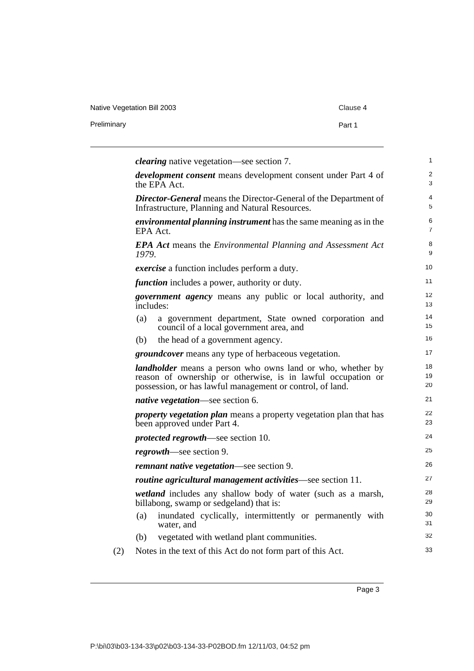| Native Vegetation Bill 2003 | Clause 4 |
|-----------------------------|----------|
| Preliminary                 | Part 1   |

|       | <i>clearing</i> native vegetation—see section 7.                                                                                                                                               | $\mathbf 1$    |
|-------|------------------------------------------------------------------------------------------------------------------------------------------------------------------------------------------------|----------------|
|       | <i>development consent</i> means development consent under Part 4 of<br>the EPA Act.                                                                                                           | 2<br>3         |
|       | <b>Director-General</b> means the Director-General of the Department of<br>Infrastructure, Planning and Natural Resources.                                                                     | 4<br>5         |
|       | <i>environmental planning instrument</i> has the same meaning as in the<br>EPA Act.                                                                                                            | 6<br>7         |
| 1979. | <b>EPA Act</b> means the <i>Environmental Planning and Assessment Act</i>                                                                                                                      | 8<br>9         |
|       | <i>exercise</i> a function includes perform a duty.                                                                                                                                            | 10             |
|       | <i>function</i> includes a power, authority or duty.                                                                                                                                           | 11             |
|       | <i>government agency</i> means any public or local authority, and<br>includes:                                                                                                                 | 12<br>13       |
| (a)   | a government department, State owned corporation and<br>council of a local government area, and                                                                                                | 14<br>15       |
| (b)   | the head of a government agency.                                                                                                                                                               | 16             |
|       | <i>groundcover</i> means any type of herbaceous vegetation.                                                                                                                                    | 17             |
|       | <i>landholder</i> means a person who owns land or who, whether by<br>reason of ownership or otherwise, is in lawful occupation or<br>possession, or has lawful management or control, of land. | 18<br>19<br>20 |
|       | <i>native vegetation</i> —see section 6.                                                                                                                                                       | 21             |
|       | property vegetation plan means a property vegetation plan that has<br>been approved under Part 4.                                                                                              | 22<br>23       |
|       | <i>protected regrowth—see section 10.</i>                                                                                                                                                      | 24             |
|       | <i>regrowth</i> —see section 9.                                                                                                                                                                | 25             |
|       | remnant native vegetation—see section 9.                                                                                                                                                       | 26             |
|       | <i>routine agricultural management activities</i> —see section 11.                                                                                                                             | 27             |
|       | wetland includes any shallow body of water (such as a marsh,<br>billabong, swamp or sedgeland) that is:                                                                                        | 28<br>29       |
| (a)   | inundated cyclically, intermittently or permanently with<br>water, and                                                                                                                         | 30<br>31       |
| (b)   | vegetated with wetland plant communities.                                                                                                                                                      | 32             |
|       | Notes in the text of this Act do not form part of this Act.                                                                                                                                    | 33             |
|       |                                                                                                                                                                                                |                |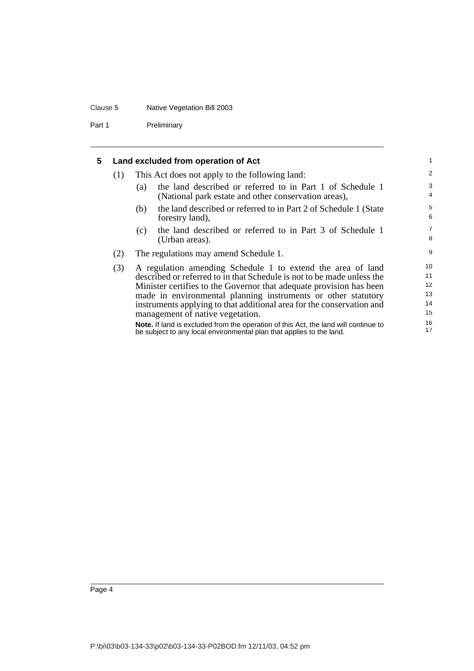#### Clause 5 Native Vegetation Bill 2003

Part 1 Preliminary

|  | Land excluded from operation of Act |  |
|--|-------------------------------------|--|
|--|-------------------------------------|--|

(1) This Act does not apply to the following land: (a) the land described or referred to in Part 1 of Schedule 1 (National park estate and other conservation areas),

(b) the land described or referred to in Part 2 of Schedule 1 (State forestry land),

- (c) the land described or referred to in Part 3 of Schedule 1 (Urban areas).
- (2) The regulations may amend Schedule 1.
- (3) A regulation amending Schedule 1 to extend the area of land described or referred to in that Schedule is not to be made unless the Minister certifies to the Governor that adequate provision has been made in environmental planning instruments or other statutory instruments applying to that additional area for the conservation and management of native vegetation.

**Note.** If land is excluded from the operation of this Act, the land will continue to be subject to any local environmental plan that applies to the land.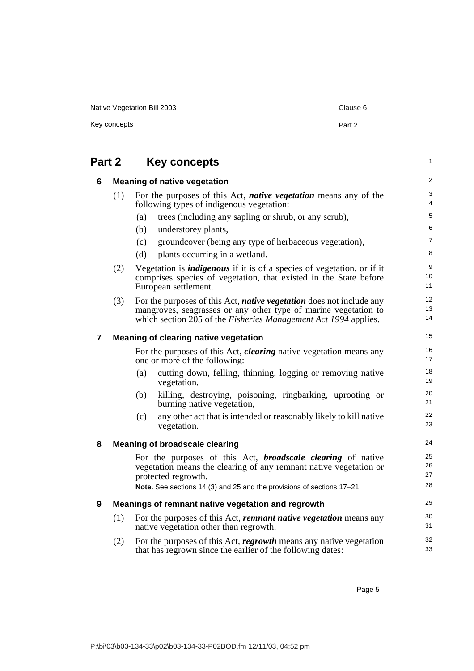Native Vegetation Bill 2003 Clause 6

Key concepts **Part 2** 

#### **Part 2 Key concepts 6 Meaning of native vegetation** (1) For the purposes of this Act, *native vegetation* means any of the following types of indigenous vegetation: (a) trees (including any sapling or shrub, or any scrub), (b) understorey plants, (c) groundcover (being any type of herbaceous vegetation), (d) plants occurring in a wetland. (2) Vegetation is *indigenous* if it is of a species of vegetation, or if it comprises species of vegetation, that existed in the State before European settlement. (3) For the purposes of this Act, *native vegetation* does not include any mangroves, seagrasses or any other type of marine vegetation to which section 205 of the *Fisheries Management Act 1994* applies. **7 Meaning of clearing native vegetation** For the purposes of this Act, *clearing* native vegetation means any one or more of the following: (a) cutting down, felling, thinning, logging or removing native vegetation, (b) killing, destroying, poisoning, ringbarking, uprooting or burning native vegetation, (c) any other act that is intended or reasonably likely to kill native vegetation. **8 Meaning of broadscale clearing** For the purposes of this Act, *broadscale clearing* of native vegetation means the clearing of any remnant native vegetation or protected regrowth. **Note.** See sections 14 (3) and 25 and the provisions of sections 17–21. **9 Meanings of remnant native vegetation and regrowth** (1) For the purposes of this Act, *remnant native vegetation* means any native vegetation other than regrowth. (2) For the purposes of this Act, *regrowth* means any native vegetation that has regrown since the earlier of the following dates: 1  $\mathfrak{p}$ 3 4 5 6 7 8 9 10 11 12 13 14 15 16 17 18 19 20 21 22 23 24 25 26 27 28 29 30 31 32 33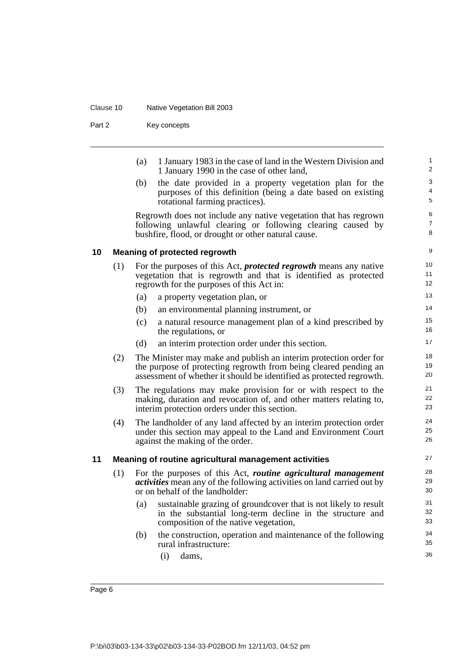#### Clause 10 Native Vegetation Bill 2003

Part 2 Key concepts

|    |     | (a)<br>1 January 1983 in the case of land in the Western Division and<br>1 January 1990 in the case of other land,                                                                                            | 1<br>2                   |
|----|-----|---------------------------------------------------------------------------------------------------------------------------------------------------------------------------------------------------------------|--------------------------|
|    |     | the date provided in a property vegetation plan for the<br>(b)<br>purposes of this definition (being a date based on existing<br>rotational farming practices).                                               | 3<br>4<br>5              |
|    |     | Regrowth does not include any native vegetation that has regrown<br>following unlawful clearing or following clearing caused by<br>bushfire, flood, or drought or other natural cause.                        | 6<br>$\overline{7}$<br>8 |
| 10 |     | <b>Meaning of protected regrowth</b>                                                                                                                                                                          | 9                        |
|    | (1) | For the purposes of this Act, <i>protected regrowth</i> means any native<br>vegetation that is regrowth and that is identified as protected<br>regrowth for the purposes of this Act in:                      | 10<br>11<br>12           |
|    |     | (a)<br>a property vegetation plan, or                                                                                                                                                                         | 13                       |
|    |     | an environmental planning instrument, or<br>(b)                                                                                                                                                               | 14                       |
|    |     | a natural resource management plan of a kind prescribed by<br>(c)<br>the regulations, or                                                                                                                      | 15<br>16                 |
|    |     | (d)<br>an interim protection order under this section.                                                                                                                                                        | 17                       |
|    | (2) | The Minister may make and publish an interim protection order for<br>the purpose of protecting regrowth from being cleared pending an<br>assessment of whether it should be identified as protected regrowth. | 18<br>19<br>20           |
|    | (3) | The regulations may make provision for or with respect to the<br>making, duration and revocation of, and other matters relating to,<br>interim protection orders under this section.                          | 21<br>22<br>23           |
|    | (4) | The landholder of any land affected by an interim protection order<br>under this section may appeal to the Land and Environment Court<br>against the making of the order.                                     | 24<br>25<br>26           |
| 11 |     | Meaning of routine agricultural management activities                                                                                                                                                         | 27                       |
|    | (1) | For the purposes of this Act, <i>routine agricultural management</i><br><i>activities</i> mean any of the following activities on land carried out by<br>or on behalf of the landholder:                      | 28<br>29<br>30           |
|    |     | sustainable grazing of groundcover that is not likely to result<br>(a)<br>in the substantial long-term decline in the structure and<br>composition of the native vegetation,                                  | 31<br>32<br>33           |
|    |     | $(h)$ the construction operation and maintenance of the following                                                                                                                                             | 34                       |

(b) the construction, operation and maintenance of the following rural infrastructure:

35 36

(i) dams,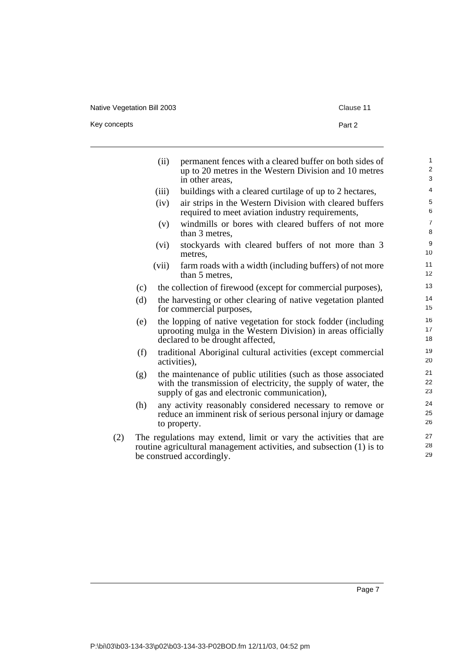Native Vegetation Bill 2003 Clause 11

Key concepts **Part 2** 

| $\mathbf{1}$<br>$\overline{2}$<br>3 | permanent fences with a cleared buffer on both sides of<br>(ii)<br>up to 20 metres in the Western Division and 10 metres<br>in other areas.                                     |     |
|-------------------------------------|---------------------------------------------------------------------------------------------------------------------------------------------------------------------------------|-----|
| $\overline{4}$                      | (iii)<br>buildings with a cleared curtilage of up to 2 hectares,                                                                                                                |     |
| 5<br>6                              | air strips in the Western Division with cleared buffers<br>(iv)<br>required to meet aviation industry requirements,                                                             |     |
| $\overline{7}$<br>$\,8\,$           | windmills or bores with cleared buffers of not more<br>(v)<br>than 3 metres,                                                                                                    |     |
| 9<br>10                             | (vi)<br>stockyards with cleared buffers of not more than 3<br>metres,                                                                                                           |     |
| 11<br>12                            | (vii)<br>farm roads with a width (including buffers) of not more<br>than 5 metres,                                                                                              |     |
| 13                                  | the collection of firewood (except for commercial purposes),                                                                                                                    | (c) |
| 14<br>15                            | the harvesting or other clearing of native vegetation planted<br>for commercial purposes,                                                                                       | (d) |
| 16<br>17<br>18                      | the lopping of native vegetation for stock fodder (including<br>uprooting mulga in the Western Division) in areas officially<br>declared to be drought affected,                | (e) |
| 19<br>20                            | traditional Aboriginal cultural activities (except commercial<br>activities),                                                                                                   | (f) |
| 21<br>22<br>23                      | the maintenance of public utilities (such as those associated<br>with the transmission of electricity, the supply of water, the<br>supply of gas and electronic communication), | (g) |
| 24<br>25<br>26                      | any activity reasonably considered necessary to remove or<br>reduce an imminent risk of serious personal injury or damage<br>to property.                                       | (h) |
| 27<br>28<br>29                      | The regulations may extend, limit or vary the activities that are<br>routine agricultural management activities, and subsection (1) is to<br>be construed accordingly.          | (2) |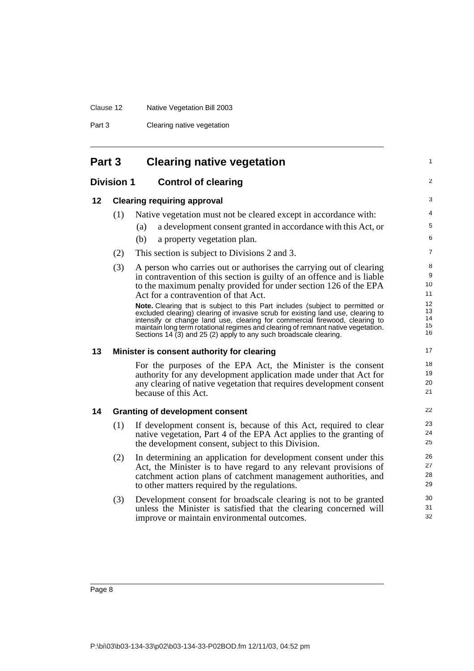#### Clause 12 Native Vegetation Bill 2003

Part 3 Clearing native vegetation

| Part 3 |                   | <b>Clearing native vegetation</b>                                                                                                                                                                                                                                                                                                                                                                                                                                                                             | $\mathbf{1}$                         |
|--------|-------------------|---------------------------------------------------------------------------------------------------------------------------------------------------------------------------------------------------------------------------------------------------------------------------------------------------------------------------------------------------------------------------------------------------------------------------------------------------------------------------------------------------------------|--------------------------------------|
|        | <b>Division 1</b> | <b>Control of clearing</b>                                                                                                                                                                                                                                                                                                                                                                                                                                                                                    | 2                                    |
| 12     |                   | <b>Clearing requiring approval</b>                                                                                                                                                                                                                                                                                                                                                                                                                                                                            | 3                                    |
|        | (1)               | Native vegetation must not be cleared except in accordance with:                                                                                                                                                                                                                                                                                                                                                                                                                                              | 4                                    |
|        |                   | a development consent granted in accordance with this Act, or<br>(a)                                                                                                                                                                                                                                                                                                                                                                                                                                          | 5                                    |
|        |                   | (b)<br>a property vegetation plan.                                                                                                                                                                                                                                                                                                                                                                                                                                                                            | 6                                    |
|        | (2)               | This section is subject to Divisions 2 and 3.                                                                                                                                                                                                                                                                                                                                                                                                                                                                 | $\overline{7}$                       |
|        | (3)               | A person who carries out or authorises the carrying out of clearing<br>in contravention of this section is guilty of an offence and is liable<br>to the maximum penalty provided for under section 126 of the EPA<br>Act for a contravention of that Act.<br>Note. Clearing that is subject to this Part includes (subject to permitted or<br>excluded clearing) clearing of invasive scrub for existing land use, clearing to<br>intensify or change land use, clearing for commercial firewood, clearing to | 8<br>9<br>10<br>11<br>12<br>13<br>14 |
| 13     |                   | maintain long term rotational regimes and clearing of remnant native vegetation.<br>Sections 14 (3) and 25 (2) apply to any such broadscale clearing.<br>Minister is consent authority for clearing                                                                                                                                                                                                                                                                                                           | 15<br>16<br>17                       |
|        |                   | For the purposes of the EPA Act, the Minister is the consent<br>authority for any development application made under that Act for<br>any clearing of native vegetation that requires development consent<br>because of this Act.                                                                                                                                                                                                                                                                              | 18<br>19<br>20<br>21                 |
| 14     |                   | <b>Granting of development consent</b>                                                                                                                                                                                                                                                                                                                                                                                                                                                                        | 22                                   |
|        | (1)               | If development consent is, because of this Act, required to clear<br>native vegetation, Part 4 of the EPA Act applies to the granting of<br>the development consent, subject to this Division.                                                                                                                                                                                                                                                                                                                | 23<br>24<br>25                       |
|        | (2)               | In determining an application for development consent under this<br>Act, the Minister is to have regard to any relevant provisions of<br>catchment action plans of catchment management authorities, and<br>to other matters required by the regulations.                                                                                                                                                                                                                                                     | 26<br>27<br>28<br>29                 |
|        | (3)               | Development consent for broadscale clearing is not to be granted<br>unless the Minister is satisfied that the clearing concerned will<br>improve or maintain environmental outcomes.                                                                                                                                                                                                                                                                                                                          | 30<br>31<br>32                       |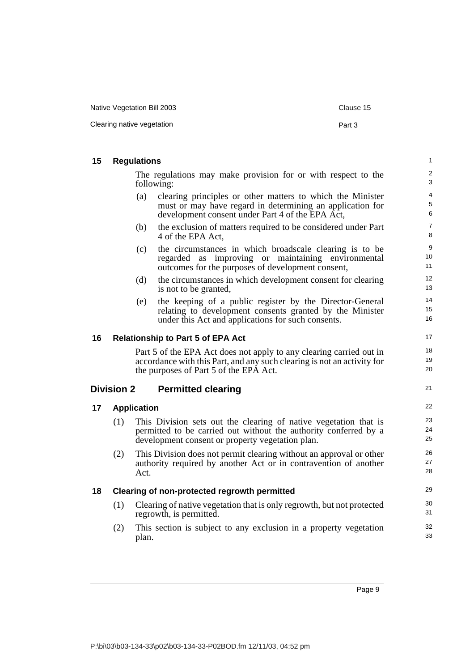| 15 | <b>Regulations</b> |                                                                                                                                                                             |
|----|--------------------|-----------------------------------------------------------------------------------------------------------------------------------------------------------------------------|
|    |                    | The regulations may make provision for or with respect to the<br>following:                                                                                                 |
|    | (a)                | clearing principles or other matters to which the Minister<br>must or may have regard in determining an application for<br>development consent under Part 4 of the EPA Act, |
|    | (b)                | the exclusion of matters required to be considered under Part<br>4 of the EPA Act,                                                                                          |
|    | (c)                | the circumstances in which broadscale clearing is to be<br>regarded as improving or maintaining environmental<br>outcomes for the purposes of development consent,          |

- (d) the circumstances in which development consent for clearing is not to be granted,
- (e) the keeping of a public register by the Director-General relating to development consents granted by the Minister under this Act and applications for such consents.

#### **16 Relationship to Part 5 of EPA Act**

Part 5 of the EPA Act does not apply to any clearing carried out in accordance with this Part, and any such clearing is not an activity for the purposes of Part 5 of the EPA Act.

#### **Division 2 Permitted clearing**

#### **17 Application**

- (1) This Division sets out the clearing of native vegetation that is permitted to be carried out without the authority conferred by a development consent or property vegetation plan.
- (2) This Division does not permit clearing without an approval or other authority required by another Act or in contravention of another Act.

#### **18 Clearing of non-protected regrowth permitted**

- (1) Clearing of native vegetation that is only regrowth, but not protected regrowth, is permitted.
- (2) This section is subject to any exclusion in a property vegetation plan.

Page 9

21

Native Vegetation Bill 2003 **Clause 15** Clause 15

Clearing native vegetation example of the part 3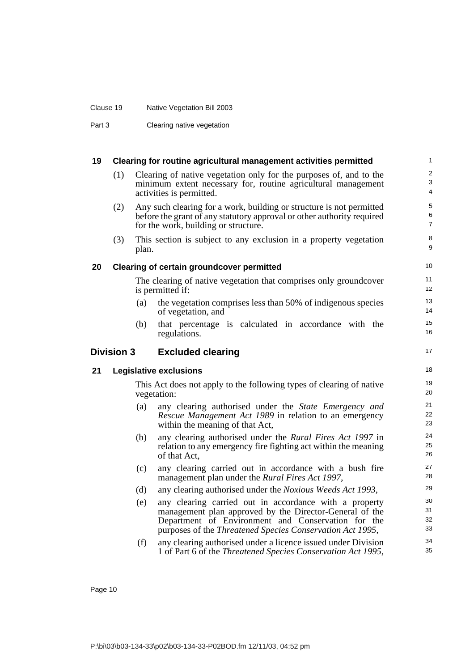#### Clause 19 Native Vegetation Bill 2003

Part 3 Clearing native vegetation

| 19 |                   |       | Clearing for routine agricultural management activities permitted                                                                                                                                                                    | $\mathbf{1}$                       |
|----|-------------------|-------|--------------------------------------------------------------------------------------------------------------------------------------------------------------------------------------------------------------------------------------|------------------------------------|
|    | (1)               |       | Clearing of native vegetation only for the purposes of, and to the<br>minimum extent necessary for, routine agricultural management<br>activities is permitted.                                                                      | 2<br>3<br>4                        |
|    | (2)               |       | Any such clearing for a work, building or structure is not permitted<br>before the grant of any statutory approval or other authority required<br>for the work, building or structure.                                               | $\,$ 5 $\,$<br>6<br>$\overline{7}$ |
|    | (3)               | plan. | This section is subject to any exclusion in a property vegetation                                                                                                                                                                    | 8<br>$\boldsymbol{9}$              |
| 20 |                   |       | <b>Clearing of certain groundcover permitted</b>                                                                                                                                                                                     | 10                                 |
|    |                   |       | The clearing of native vegetation that comprises only ground cover<br>is permitted if:                                                                                                                                               | 11<br>12                           |
|    |                   | (a)   | the vegetation comprises less than 50% of indigenous species<br>of vegetation, and                                                                                                                                                   | 13<br>14                           |
|    |                   | (b)   | that percentage is calculated in accordance with the<br>regulations.                                                                                                                                                                 | 15<br>16                           |
|    | <b>Division 3</b> |       | <b>Excluded clearing</b>                                                                                                                                                                                                             | 17                                 |
| 21 |                   |       | <b>Legislative exclusions</b>                                                                                                                                                                                                        | 18                                 |
|    |                   |       | This Act does not apply to the following types of clearing of native<br>vegetation:                                                                                                                                                  | 19<br>20                           |
|    |                   | (a)   | any clearing authorised under the State Emergency and<br>Rescue Management Act 1989 in relation to an emergency                                                                                                                      | 21<br>22                           |
|    |                   |       | within the meaning of that Act,                                                                                                                                                                                                      | 23                                 |
|    |                   | (b)   | any clearing authorised under the Rural Fires Act 1997 in<br>relation to any emergency fire fighting act within the meaning<br>of that Act,                                                                                          | 24<br>25<br>26                     |
|    |                   | (c)   | any clearing carried out in accordance with a bush fire<br>management plan under the Rural Fires Act 1997,                                                                                                                           | 27<br>28                           |
|    |                   | (d)   | any clearing authorised under the <i>Noxious</i> Weeds Act 1993,                                                                                                                                                                     | 29                                 |
|    |                   | (e)   | any clearing carried out in accordance with a property<br>management plan approved by the Director-General of the<br>Department of Environment and Conservation for the<br>purposes of the Threatened Species Conservation Act 1995, | 30<br>31<br>32<br>33               |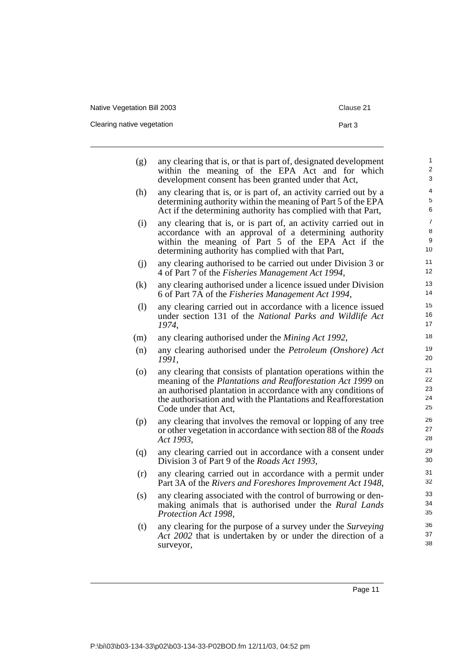Native Vegetation Bill 2003 Clause 21

Clearing native vegetation **Part 3** 

| $\mathbf{1}$<br>2<br>3         | any clearing that is, or that is part of, designated development<br>within the meaning of the EPA Act and for which<br>development consent has been granted under that Act,                                                                                                             | (g) |
|--------------------------------|-----------------------------------------------------------------------------------------------------------------------------------------------------------------------------------------------------------------------------------------------------------------------------------------|-----|
| 4<br>5<br>6                    | any clearing that is, or is part of, an activity carried out by a<br>determining authority within the meaning of Part 5 of the EPA<br>Act if the determining authority has complied with that Part,                                                                                     | (h) |
| $\overline{7}$<br>8<br>9<br>10 | any clearing that is, or is part of, an activity carried out in<br>accordance with an approval of a determining authority<br>within the meaning of Part 5 of the EPA Act if the<br>determining authority has complied with that Part,                                                   | (i) |
| 11<br>12                       | any clearing authorised to be carried out under Division 3 or<br>4 of Part 7 of the Fisheries Management Act 1994,                                                                                                                                                                      | (j) |
| 13<br>14                       | any clearing authorised under a licence issued under Division<br>6 of Part 7A of the Fisheries Management Act 1994,                                                                                                                                                                     | (k) |
| 15<br>16<br>17                 | any clearing carried out in accordance with a licence issued<br>under section 131 of the National Parks and Wildlife Act<br>1974,                                                                                                                                                       | (1) |
| 18                             | any clearing authorised under the <i>Mining Act 1992</i> ,                                                                                                                                                                                                                              | (m) |
| 19<br>20                       | any clearing authorised under the <i>Petroleum (Onshore)</i> Act<br>1991,                                                                                                                                                                                                               | (n) |
| 21<br>22<br>23<br>24<br>25     | any clearing that consists of plantation operations within the<br>meaning of the Plantations and Reafforestation Act 1999 on<br>an authorised plantation in accordance with any conditions of<br>the authorisation and with the Plantations and Reafforestation<br>Code under that Act, | (0) |
| 26<br>27<br>28                 | any clearing that involves the removal or lopping of any tree<br>or other vegetation in accordance with section 88 of the Roads<br>Act 1993,                                                                                                                                            | (p) |
| 29<br>30                       | any clearing carried out in accordance with a consent under<br>Division 3 of Part 9 of the <i>Roads Act 1993</i> ,                                                                                                                                                                      | (q) |
| 31<br>32                       | any clearing carried out in accordance with a permit under<br>Part 3A of the Rivers and Foreshores Improvement Act 1948,                                                                                                                                                                | (r) |
| 33<br>34<br>35                 | any clearing associated with the control of burrowing or den-<br>making animals that is authorised under the Rural Lands<br>Protection Act 1998,                                                                                                                                        | (s) |
| 36<br>37<br>38                 | any clearing for the purpose of a survey under the Surveying<br>Act 2002 that is undertaken by or under the direction of a<br>surveyor,                                                                                                                                                 | (t) |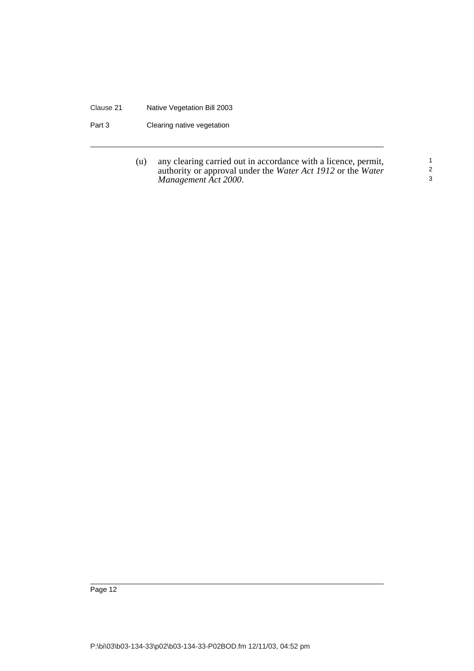#### Clause 21 Native Vegetation Bill 2003

Part 3 Clearing native vegetation

(u) any clearing carried out in accordance with a licence, permit, authority or approval under the *Water Act 1912* or the *Water Management Act 2000*.

1 2 3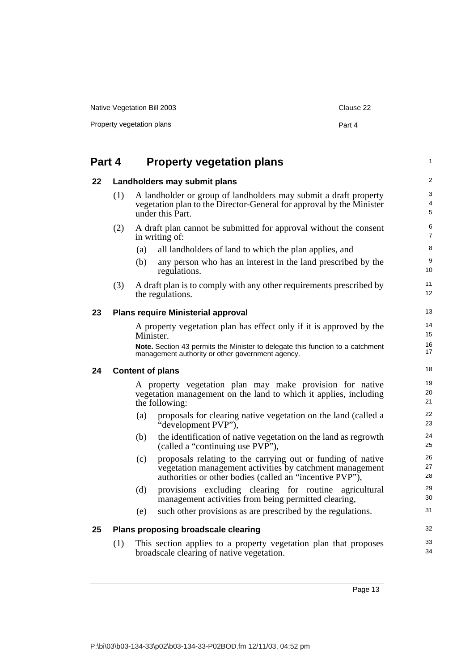Native Vegetation Bill 2003 Clause 22

Property vegetation plans

| Part 4 |     |           | <b>Property vegetation plans</b>                                                                                                                                                    | 1                       |
|--------|-----|-----------|-------------------------------------------------------------------------------------------------------------------------------------------------------------------------------------|-------------------------|
| 22     |     |           | Landholders may submit plans                                                                                                                                                        | $\overline{\mathbf{c}}$ |
|        | (1) |           | A landholder or group of landholders may submit a draft property<br>vegetation plan to the Director-General for approval by the Minister<br>under this Part.                        | 3<br>4<br>5             |
|        | (2) |           | A draft plan cannot be submitted for approval without the consent<br>in writing of:                                                                                                 | 6<br>7                  |
|        |     | (a)       | all landholders of land to which the plan applies, and                                                                                                                              | 8                       |
|        |     | (b)       | any person who has an interest in the land prescribed by the<br>regulations.                                                                                                        | 9<br>10                 |
|        | (3) |           | A draft plan is to comply with any other requirements prescribed by<br>the regulations.                                                                                             | 11<br>12                |
| 23     |     |           | <b>Plans require Ministerial approval</b>                                                                                                                                           | 13                      |
|        |     | Minister. | A property vegetation plan has effect only if it is approved by the                                                                                                                 | 14<br>15                |
|        |     |           | Note. Section 43 permits the Minister to delegate this function to a catchment<br>management authority or other government agency.                                                  | 16<br>17                |
| 24     |     |           | <b>Content of plans</b>                                                                                                                                                             | 18                      |
|        |     |           | A property vegetation plan may make provision for native<br>vegetation management on the land to which it applies, including<br>the following:                                      | 19<br>20<br>21          |
|        |     | (a)       | proposals for clearing native vegetation on the land (called a<br>"development PVP"),                                                                                               | 22<br>23                |
|        |     | (b)       | the identification of native vegetation on the land as regrowth<br>(called a "continuing use PVP"),                                                                                 | 24<br>25                |
|        |     | (c)       | proposals relating to the carrying out or funding of native<br>vegetation management activities by catchment management<br>authorities or other bodies (called an "incentive PVP"), | 26<br>27<br>28          |
|        |     | (d)       | provisions excluding clearing for routine agricultural<br>management activities from being permitted clearing,                                                                      | 29<br>30                |
|        |     | (e)       | such other provisions as are prescribed by the regulations.                                                                                                                         | 31                      |
| 25     |     |           | Plans proposing broadscale clearing                                                                                                                                                 | 32                      |
|        | (1) |           | This section applies to a property vegetation plan that proposes<br>broadscale clearing of native vegetation.                                                                       | 33<br>34                |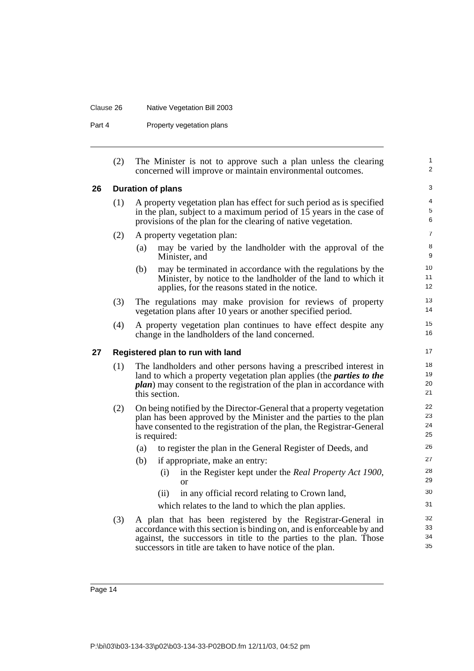#### Clause 26 Native Vegetation Bill 2003

Part 4 Property vegetation plans

|    | (2) | The Minister is not to approve such a plan unless the clearing<br>concerned will improve or maintain environmental outcomes.                                                                                                                                            | 1<br>$\boldsymbol{2}$             |
|----|-----|-------------------------------------------------------------------------------------------------------------------------------------------------------------------------------------------------------------------------------------------------------------------------|-----------------------------------|
| 26 |     | <b>Duration of plans</b>                                                                                                                                                                                                                                                | 3                                 |
|    | (1) | A property vegetation plan has effect for such period as is specified<br>in the plan, subject to a maximum period of $15$ years in the case of<br>provisions of the plan for the clearing of native vegetation.                                                         | $\overline{\mathbf{4}}$<br>5<br>6 |
|    | (2) | A property vegetation plan:                                                                                                                                                                                                                                             | $\overline{7}$                    |
|    |     | may be varied by the landholder with the approval of the<br>(a)<br>Minister, and                                                                                                                                                                                        | 8<br>9                            |
|    |     | (b)<br>may be terminated in accordance with the regulations by the<br>Minister, by notice to the landholder of the land to which it<br>applies, for the reasons stated in the notice.                                                                                   | 10<br>11<br>12                    |
|    | (3) | The regulations may make provision for reviews of property<br>vegetation plans after 10 years or another specified period.                                                                                                                                              | 13<br>14                          |
|    | (4) | A property vegetation plan continues to have effect despite any<br>change in the landholders of the land concerned.                                                                                                                                                     | 15<br>16                          |
| 27 |     | Registered plan to run with land                                                                                                                                                                                                                                        | 17                                |
|    | (1) | The landholders and other persons having a prescribed interest in<br>land to which a property vegetation plan applies (the <i>parties to the</i><br><i>plan</i> ) may consent to the registration of the plan in accordance with<br>this section.                       | 18<br>19<br>20<br>21              |
|    | (2) | On being notified by the Director-General that a property vegetation<br>plan has been approved by the Minister and the parties to the plan<br>have consented to the registration of the plan, the Registrar-General<br>is required:                                     | 22<br>23<br>24<br>25              |
|    |     | to register the plan in the General Register of Deeds, and<br>(a)                                                                                                                                                                                                       | 26                                |
|    |     | (b)<br>if appropriate, make an entry:                                                                                                                                                                                                                                   | 27                                |
|    |     | (i)<br>in the Register kept under the Real Property Act 1900,<br><b>or</b>                                                                                                                                                                                              | 28<br>29                          |
|    |     | in any official record relating to Crown land,<br>(ii)                                                                                                                                                                                                                  | 30                                |
|    |     | which relates to the land to which the plan applies.                                                                                                                                                                                                                    | 31                                |
|    | (3) | A plan that has been registered by the Registrar-General in<br>accordance with this section is binding on, and is enforceable by and<br>against, the successors in title to the parties to the plan. Those<br>successors in title are taken to have notice of the plan. | 32<br>33<br>34<br>35              |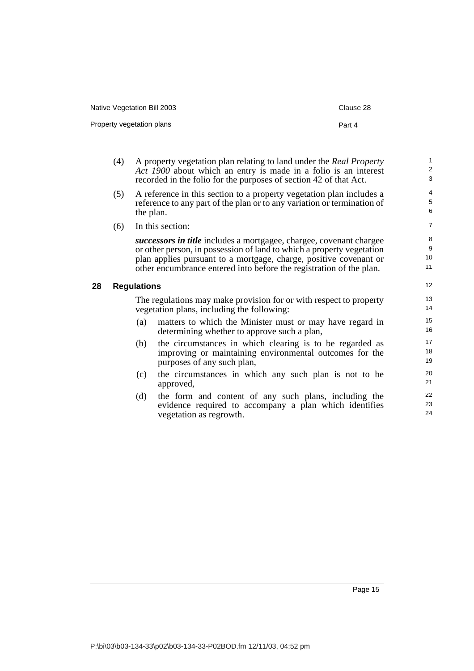| Native Vegetation Bill 2003 | Clause 28 |
|-----------------------------|-----------|
| Property vegetation plans   | Part 4    |

- (4) A property vegetation plan relating to land under the *Real Property Act 1900* about which an entry is made in a folio is an interest recorded in the folio for the purposes of section 42 of that Act.
- (5) A reference in this section to a property vegetation plan includes a reference to any part of the plan or to any variation or termination of the plan.
- (6) In this section:

*successors in title* includes a mortgagee, chargee, covenant chargee or other person, in possession of land to which a property vegetation plan applies pursuant to a mortgage, charge, positive covenant or other encumbrance entered into before the registration of the plan.

#### **28 Regulations**

The regulations may make provision for or with respect to property vegetation plans, including the following:

- (a) matters to which the Minister must or may have regard in determining whether to approve such a plan,
- (b) the circumstances in which clearing is to be regarded as improving or maintaining environmental outcomes for the purposes of any such plan,
- (c) the circumstances in which any such plan is not to be approved,
- (d) the form and content of any such plans, including the evidence required to accompany a plan which identifies vegetation as regrowth.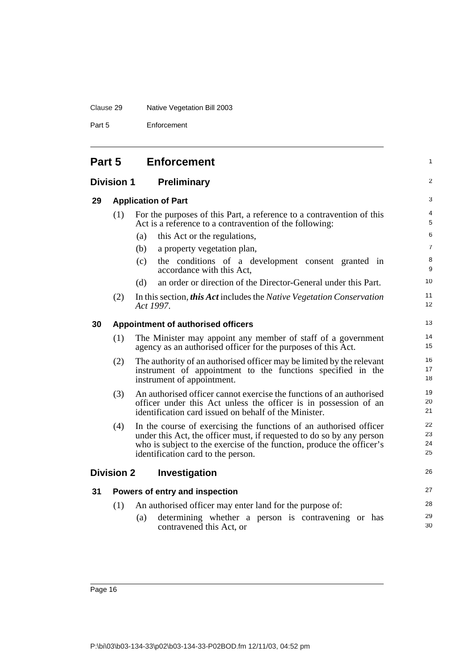## Clause 29 Native Vegetation Bill 2003

Part 5 Enforcement

|    | <b>Division 1</b> | <b>Preliminary</b>                                                                                                                                                                                                                                         | 2                    |
|----|-------------------|------------------------------------------------------------------------------------------------------------------------------------------------------------------------------------------------------------------------------------------------------------|----------------------|
| 29 |                   | <b>Application of Part</b>                                                                                                                                                                                                                                 | 3                    |
|    | (1)               | For the purposes of this Part, a reference to a contravention of this<br>Act is a reference to a contravention of the following:                                                                                                                           | 4<br>5               |
|    |                   | this Act or the regulations,<br>(a)                                                                                                                                                                                                                        | 6                    |
|    |                   | (b)<br>a property vegetation plan,                                                                                                                                                                                                                         | 7                    |
|    |                   | (c)<br>the conditions of a development consent granted in<br>accordance with this Act.                                                                                                                                                                     | 8<br>9               |
|    |                   | an order or direction of the Director-General under this Part.<br>(d)                                                                                                                                                                                      | 10                   |
|    | (2)               | In this section, this Act includes the Native Vegetation Conservation<br>Act 1997.                                                                                                                                                                         | 11<br>12             |
| 30 |                   | Appointment of authorised officers                                                                                                                                                                                                                         | 13                   |
|    | (1)               | The Minister may appoint any member of staff of a government<br>agency as an authorised officer for the purposes of this Act.                                                                                                                              | 14<br>15             |
|    | (2)               | The authority of an authorised officer may be limited by the relevant<br>instrument of appointment to the functions specified in the<br>instrument of appointment.                                                                                         | 16<br>17<br>18       |
|    | (3)               | An authorised officer cannot exercise the functions of an authorised<br>officer under this Act unless the officer is in possession of an<br>identification card issued on behalf of the Minister.                                                          | 19<br>20<br>21       |
|    | (4)               | In the course of exercising the functions of an authorised officer<br>under this Act, the officer must, if requested to do so by any person<br>who is subject to the exercise of the function, produce the officer's<br>identification card to the person. | 22<br>23<br>24<br>25 |
|    | <b>Division 2</b> | Investigation                                                                                                                                                                                                                                              | 26                   |
| 31 |                   | Powers of entry and inspection                                                                                                                                                                                                                             | 27                   |
|    | (1)               | An authorised officer may enter land for the purpose of:                                                                                                                                                                                                   | 28                   |
|    |                   | determining whether a person is contravening or has<br>(a)<br>contravened this Act, or                                                                                                                                                                     | 29<br>30             |

1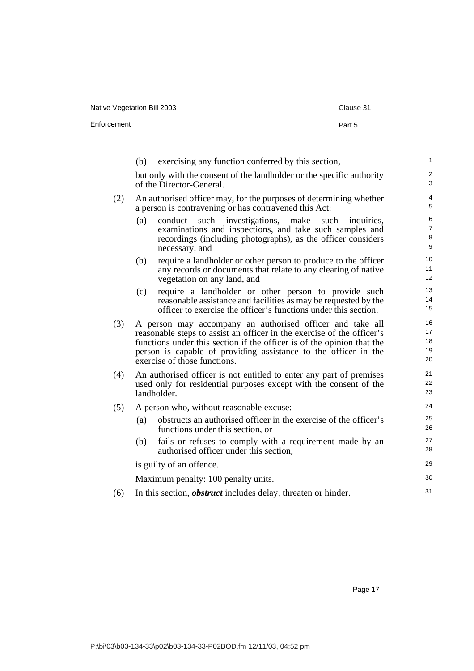Native Vegetation Bill 2003 Clause 31

|     | exercising any function conferred by this section,<br>(b)                                                                                                                                                                                                                                                        | 1                             |
|-----|------------------------------------------------------------------------------------------------------------------------------------------------------------------------------------------------------------------------------------------------------------------------------------------------------------------|-------------------------------|
|     | but only with the consent of the landholder or the specific authority<br>of the Director-General.                                                                                                                                                                                                                | $\overline{\mathbf{c}}$<br>3  |
| (2) | An authorised officer may, for the purposes of determining whether<br>a person is contravening or has contravened this Act:                                                                                                                                                                                      | $\overline{4}$<br>5           |
|     | such investigations, make<br>(a)<br>conduct<br>such<br>inquiries,<br>examinations and inspections, and take such samples and<br>recordings (including photographs), as the officer considers<br>necessary, and                                                                                                   | 6<br>$\overline{7}$<br>8<br>9 |
|     | require a landholder or other person to produce to the officer<br>(b)<br>any records or documents that relate to any clearing of native<br>vegetation on any land, and                                                                                                                                           | 10<br>11<br>12                |
|     | require a landholder or other person to provide such<br>(c)<br>reasonable assistance and facilities as may be requested by the<br>officer to exercise the officer's functions under this section.                                                                                                                | 13<br>14<br>15                |
| (3) | A person may accompany an authorised officer and take all<br>reasonable steps to assist an officer in the exercise of the officer's<br>functions under this section if the officer is of the opinion that the<br>person is capable of providing assistance to the officer in the<br>exercise of those functions. | 16<br>17<br>18<br>19<br>20    |
| (4) | An authorised officer is not entitled to enter any part of premises<br>used only for residential purposes except with the consent of the<br>landholder.                                                                                                                                                          |                               |
| (5) | A person who, without reasonable excuse:                                                                                                                                                                                                                                                                         | 24                            |
|     | obstructs an authorised officer in the exercise of the officer's<br>(a)<br>functions under this section, or                                                                                                                                                                                                      | 25<br>26                      |
|     | fails or refuses to comply with a requirement made by an<br>(b)<br>authorised officer under this section,                                                                                                                                                                                                        | 27<br>28                      |
|     | is guilty of an offence.                                                                                                                                                                                                                                                                                         | 29                            |
|     | Maximum penalty: 100 penalty units.                                                                                                                                                                                                                                                                              | 30                            |
| (6) | In this section, <i>obstruct</i> includes delay, threaten or hinder.                                                                                                                                                                                                                                             | 31                            |
|     |                                                                                                                                                                                                                                                                                                                  |                               |

Enforcement Part 5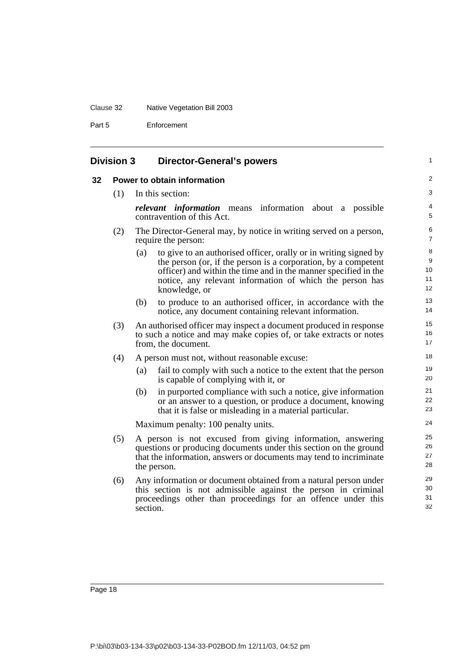#### Clause 32 Native Vegetation Bill 2003

Part 5 Enforcement

| <b>Division 3</b><br><b>Director-General's powers</b> |                                                                                                  |                                                                                                                                                                                                                                                                                           | $\mathbf{1}$                                       |  |
|-------------------------------------------------------|--------------------------------------------------------------------------------------------------|-------------------------------------------------------------------------------------------------------------------------------------------------------------------------------------------------------------------------------------------------------------------------------------------|----------------------------------------------------|--|
| 32                                                    |                                                                                                  | Power to obtain information                                                                                                                                                                                                                                                               | $\overline{2}$                                     |  |
|                                                       | (1)                                                                                              | In this section:                                                                                                                                                                                                                                                                          | 3                                                  |  |
|                                                       |                                                                                                  | <i>relevant information</i> means information about a possible<br>contravention of this Act.                                                                                                                                                                                              | 4<br>5                                             |  |
|                                                       | (2)<br>The Director-General may, by notice in writing served on a person,<br>require the person: |                                                                                                                                                                                                                                                                                           |                                                    |  |
|                                                       |                                                                                                  | to give to an authorised officer, orally or in writing signed by<br>(a)<br>the person (or, if the person is a corporation, by a competent<br>officer) and within the time and in the manner specified in the<br>notice, any relevant information of which the person has<br>knowledge, or | 8<br>9<br>10 <sup>1</sup><br>11<br>12 <sup>2</sup> |  |
|                                                       |                                                                                                  | (b)<br>to produce to an authorised officer, in accordance with the<br>notice, any document containing relevant information.                                                                                                                                                               | 13<br>14                                           |  |
|                                                       | (3)                                                                                              | An authorised officer may inspect a document produced in response<br>to such a notice and may make copies of, or take extracts or notes<br>from, the document.                                                                                                                            | 15<br>16<br>17                                     |  |
|                                                       | (4)                                                                                              | A person must not, without reasonable excuse:                                                                                                                                                                                                                                             | 18                                                 |  |
|                                                       |                                                                                                  | (a)<br>fail to comply with such a notice to the extent that the person<br>is capable of complying with it, or                                                                                                                                                                             | 19<br>20                                           |  |
|                                                       |                                                                                                  | in purported compliance with such a notice, give information<br>(b)<br>or an answer to a question, or produce a document, knowing<br>that it is false or misleading in a material particular.                                                                                             | 21<br>22<br>23                                     |  |
|                                                       |                                                                                                  | Maximum penalty: 100 penalty units.                                                                                                                                                                                                                                                       | 24                                                 |  |
|                                                       | (5)                                                                                              | A person is not excused from giving information, answering<br>questions or producing documents under this section on the ground<br>that the information, answers or documents may tend to incriminate<br>the person.                                                                      | 25<br>26<br>27<br>28                               |  |
|                                                       | (6)                                                                                              | Any information or document obtained from a natural person under<br>this section is not admissible against the person in criminal<br>proceedings other than proceedings for an offence under this<br>section.                                                                             | 29<br>30<br>31<br>32                               |  |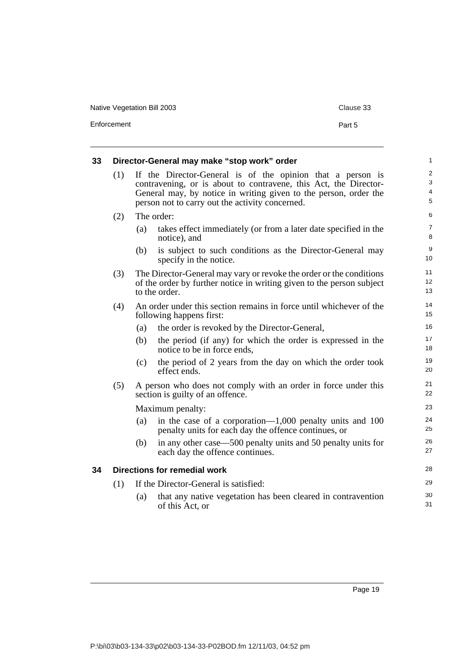Native Vegetation Bill 2003 Clause 33

Enforcement

| 33 |     |                                                                                                                                                                                                                                                       | Director-General may make "stop work" order                                                                                                                   | 1              |
|----|-----|-------------------------------------------------------------------------------------------------------------------------------------------------------------------------------------------------------------------------------------------------------|---------------------------------------------------------------------------------------------------------------------------------------------------------------|----------------|
|    | (1) | If the Director-General is of the opinion that a person is<br>contravening, or is about to contravene, this Act, the Director-<br>General may, by notice in writing given to the person, order the<br>person not to carry out the activity concerned. |                                                                                                                                                               |                |
|    | (2) |                                                                                                                                                                                                                                                       | The order:                                                                                                                                                    | 6              |
|    |     | (a)                                                                                                                                                                                                                                                   | takes effect immediately (or from a later date specified in the<br>notice), and                                                                               | 7<br>8         |
|    |     | (b)                                                                                                                                                                                                                                                   | is subject to such conditions as the Director-General may<br>specify in the notice.                                                                           | 9<br>10        |
|    | (3) |                                                                                                                                                                                                                                                       | The Director-General may vary or revoke the order or the conditions<br>of the order by further notice in writing given to the person subject<br>to the order. | 11<br>12<br>13 |
|    | (4) |                                                                                                                                                                                                                                                       | An order under this section remains in force until whichever of the<br>following happens first:                                                               | 14<br>15       |
|    |     | (a)                                                                                                                                                                                                                                                   | the order is revoked by the Director-General,                                                                                                                 | 16             |
|    |     | (b)                                                                                                                                                                                                                                                   | the period (if any) for which the order is expressed in the<br>notice to be in force ends,                                                                    | 17<br>18       |
|    |     | (c)                                                                                                                                                                                                                                                   | the period of 2 years from the day on which the order took<br>effect ends.                                                                                    | 19<br>20       |
|    | (5) |                                                                                                                                                                                                                                                       | A person who does not comply with an order in force under this<br>section is guilty of an offence.                                                            | 21<br>22       |
|    |     |                                                                                                                                                                                                                                                       | Maximum penalty:                                                                                                                                              | 23             |
|    |     | (a)                                                                                                                                                                                                                                                   | in the case of a corporation— $1,000$ penalty units and 100<br>penalty units for each day the offence continues, or                                           | 24<br>25       |
|    |     | (b)                                                                                                                                                                                                                                                   | in any other case—500 penalty units and 50 penalty units for<br>each day the offence continues.                                                               | 26<br>27       |
| 34 |     |                                                                                                                                                                                                                                                       | <b>Directions for remedial work</b>                                                                                                                           | 28             |
|    | (1) |                                                                                                                                                                                                                                                       | If the Director-General is satisfied:                                                                                                                         | 29             |
|    |     | (a)                                                                                                                                                                                                                                                   | that any native vegetation has been cleared in contravention<br>of this Act, or                                                                               | 30<br>31       |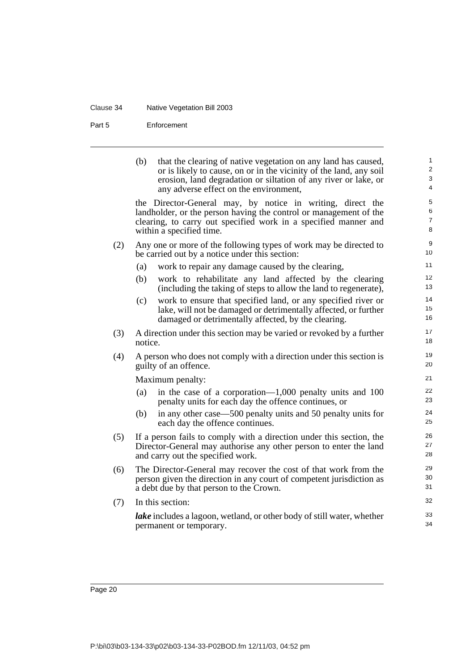#### Clause 34 Native Vegetation Bill 2003

Part 5 Enforcement

|     | (b)<br>that the clearing of native vegetation on any land has caused,<br>or is likely to cause, on or in the vicinity of the land, any soil<br>erosion, land degradation or siltation of any river or lake, or<br>any adverse effect on the environment, | 1<br>2<br>3<br>4              |
|-----|----------------------------------------------------------------------------------------------------------------------------------------------------------------------------------------------------------------------------------------------------------|-------------------------------|
|     | the Director-General may, by notice in writing, direct the<br>landholder, or the person having the control or management of the<br>clearing, to carry out specified work in a specified manner and<br>within a specified time.                           | 5<br>6<br>$\overline{7}$<br>8 |
| (2) | Any one or more of the following types of work may be directed to<br>be carried out by a notice under this section:                                                                                                                                      | 9<br>10                       |
|     | work to repair any damage caused by the clearing,<br>(a)                                                                                                                                                                                                 | 11                            |
|     | work to rehabilitate any land affected by the clearing<br>(b)<br>(including the taking of steps to allow the land to regenerate),                                                                                                                        | 12<br>13                      |
|     | work to ensure that specified land, or any specified river or<br>(c)<br>lake, will not be damaged or detrimentally affected, or further<br>damaged or detrimentally affected, by the clearing.                                                           | 14<br>15<br>16                |
| (3) | A direction under this section may be varied or revoked by a further<br>notice.                                                                                                                                                                          | 17<br>18                      |
| (4) | A person who does not comply with a direction under this section is<br>guilty of an offence.                                                                                                                                                             | 19<br>20                      |
|     | Maximum penalty:                                                                                                                                                                                                                                         | 21                            |
|     | in the case of a corporation— $1,000$ penalty units and 100<br>(a)<br>penalty units for each day the offence continues, or                                                                                                                               | 22<br>23                      |
|     | in any other case—500 penalty units and 50 penalty units for<br>(b)<br>each day the offence continues.                                                                                                                                                   | 24<br>25                      |
| (5) | If a person fails to comply with a direction under this section, the<br>Director-General may authorise any other person to enter the land<br>and carry out the specified work.                                                                           | 26<br>27<br>28                |
| (6) | The Director-General may recover the cost of that work from the<br>person given the direction in any court of competent jurisdiction as<br>a debt due by that person to the Crown.                                                                       |                               |
| (7) | In this section:                                                                                                                                                                                                                                         | 32                            |
|     | <i>lake</i> includes a lagoon, wetland, or other body of still water, whether<br>permanent or temporary.                                                                                                                                                 | 33<br>34                      |
|     |                                                                                                                                                                                                                                                          |                               |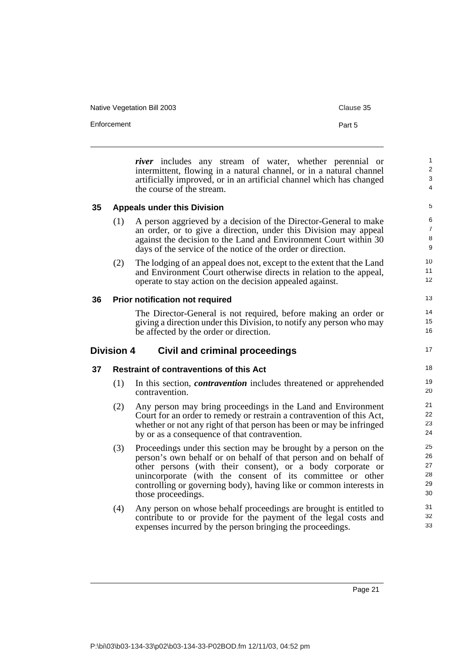Native Vegetation Bill 2003 **Clause 35** Clause 35

Enforcement **Part 5** 

17

*river* includes any stream of water, whether perennial or intermittent, flowing in a natural channel, or in a natural channel artificially improved, or in an artificial channel which has changed the course of the stream.

#### **35 Appeals under this Division**

- (1) A person aggrieved by a decision of the Director-General to make an order, or to give a direction, under this Division may appeal against the decision to the Land and Environment Court within 30 days of the service of the notice of the order or direction.
- (2) The lodging of an appeal does not, except to the extent that the Land and Environment Court otherwise directs in relation to the appeal, operate to stay action on the decision appealed against.

#### **36 Prior notification not required**

The Director-General is not required, before making an order or giving a direction under this Division, to notify any person who may be affected by the order or direction.

#### **Division 4 Civil and criminal proceedings**

#### **37 Restraint of contraventions of this Act**

- (1) In this section, *contravention* includes threatened or apprehended contravention.
- (2) Any person may bring proceedings in the Land and Environment Court for an order to remedy or restrain a contravention of this Act, whether or not any right of that person has been or may be infringed by or as a consequence of that contravention.
- (3) Proceedings under this section may be brought by a person on the person's own behalf or on behalf of that person and on behalf of other persons (with their consent), or a body corporate or unincorporate (with the consent of its committee or other controlling or governing body), having like or common interests in those proceedings.
- (4) Any person on whose behalf proceedings are brought is entitled to contribute to or provide for the payment of the legal costs and expenses incurred by the person bringing the proceedings.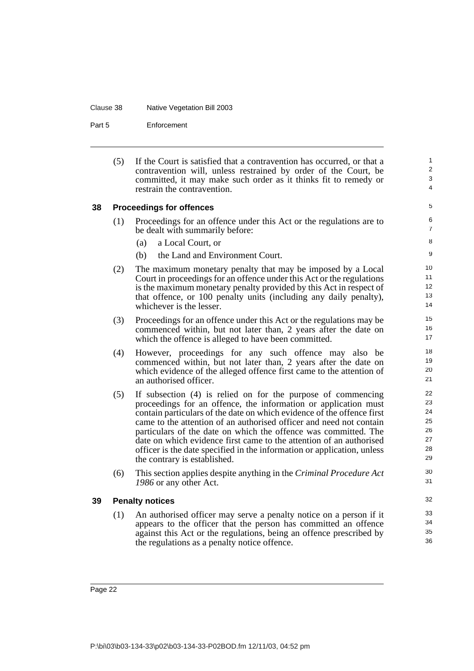#### Clause 38 Native Vegetation Bill 2003

Part 5 Enforcement

(5) If the Court is satisfied that a contravention has occurred, or that a contravention will, unless restrained by order of the Court, be committed, it may make such order as it thinks fit to remedy or restrain the contravention.

#### **38 Proceedings for offences**

- (1) Proceedings for an offence under this Act or the regulations are to be dealt with summarily before:
	- (a) a Local Court, or
	- (b) the Land and Environment Court.
- (2) The maximum monetary penalty that may be imposed by a Local Court in proceedings for an offence under this Act or the regulations is the maximum monetary penalty provided by this Act in respect of that offence, or 100 penalty units (including any daily penalty), whichever is the lesser.
- (3) Proceedings for an offence under this Act or the regulations may be commenced within, but not later than, 2 years after the date on which the offence is alleged to have been committed.
- (4) However, proceedings for any such offence may also be commenced within, but not later than, 2 years after the date on which evidence of the alleged offence first came to the attention of an authorised officer.
- (5) If subsection (4) is relied on for the purpose of commencing proceedings for an offence, the information or application must contain particulars of the date on which evidence of the offence first came to the attention of an authorised officer and need not contain particulars of the date on which the offence was committed. The date on which evidence first came to the attention of an authorised officer is the date specified in the information or application, unless the contrary is established.
- (6) This section applies despite anything in the *Criminal Procedure Act 1986* or any other Act.

#### **39 Penalty notices**

(1) An authorised officer may serve a penalty notice on a person if it appears to the officer that the person has committed an offence against this Act or the regulations, being an offence prescribed by the regulations as a penalty notice offence.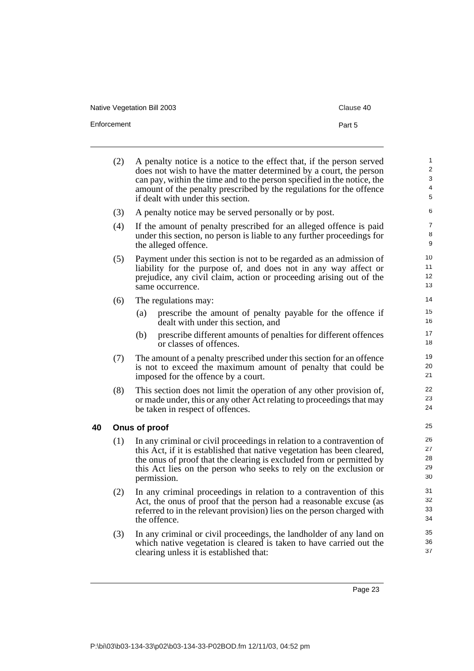Native Vegetation Bill 2003 Clause 40

Enforcement Part 5

**40 Onus of proof**

| (2) | A penalty notice is a notice to the effect that, if the person served<br>does not wish to have the matter determined by a court, the person<br>can pay, within the time and to the person specified in the notice, the<br>amount of the penalty prescribed by the regulations for the offence                 | $\mathbf{1}$<br>$\boldsymbol{2}$<br>3<br>4 |
|-----|---------------------------------------------------------------------------------------------------------------------------------------------------------------------------------------------------------------------------------------------------------------------------------------------------------------|--------------------------------------------|
|     | if dealt with under this section.                                                                                                                                                                                                                                                                             | 5                                          |
| (3) | A penalty notice may be served personally or by post.                                                                                                                                                                                                                                                         | 6                                          |
| (4) | If the amount of penalty prescribed for an alleged offence is paid<br>under this section, no person is liable to any further proceedings for<br>the alleged offence.                                                                                                                                          | $\overline{7}$<br>8<br>9                   |
| (5) | Payment under this section is not to be regarded as an admission of<br>liability for the purpose of, and does not in any way affect or<br>prejudice, any civil claim, action or proceeding arising out of the<br>same occurrence.                                                                             | 10<br>11<br>12<br>13                       |
| (6) | The regulations may:                                                                                                                                                                                                                                                                                          | 14                                         |
|     | prescribe the amount of penalty payable for the offence if<br>(a)<br>dealt with under this section, and                                                                                                                                                                                                       | 15<br>16                                   |
|     | prescribe different amounts of penalties for different offences<br>(b)<br>or classes of offences.                                                                                                                                                                                                             | 17<br>18                                   |
| (7) | The amount of a penalty prescribed under this section for an offence<br>is not to exceed the maximum amount of penalty that could be<br>imposed for the offence by a court.                                                                                                                                   | 19<br>20<br>21                             |
| (8) | This section does not limit the operation of any other provision of,<br>or made under, this or any other Act relating to proceedings that may<br>be taken in respect of offences.                                                                                                                             | 22<br>23<br>24                             |
|     | Onus of proof                                                                                                                                                                                                                                                                                                 | 25                                         |
| (1) | In any criminal or civil proceedings in relation to a contravention of<br>this Act, if it is established that native vegetation has been cleared,<br>the onus of proof that the clearing is excluded from or permitted by<br>this Act lies on the person who seeks to rely on the exclusion or<br>permission. | 26<br>27<br>28<br>29<br>30                 |
| (2) | In any criminal proceedings in relation to a contravention of this<br>Act, the onus of proof that the person had a reasonable excuse (as<br>referred to in the relevant provision) lies on the person charged with<br>the offence.                                                                            | 31<br>32<br>33<br>34                       |
| (3) | In any criminal or civil proceedings, the landholder of any land on                                                                                                                                                                                                                                           | 35                                         |

(3) In any criminal or civil proceedings, the landholder of any land on which native vegetation is cleared is taken to have carried out the clearing unless it is established that:

Page 23

36 37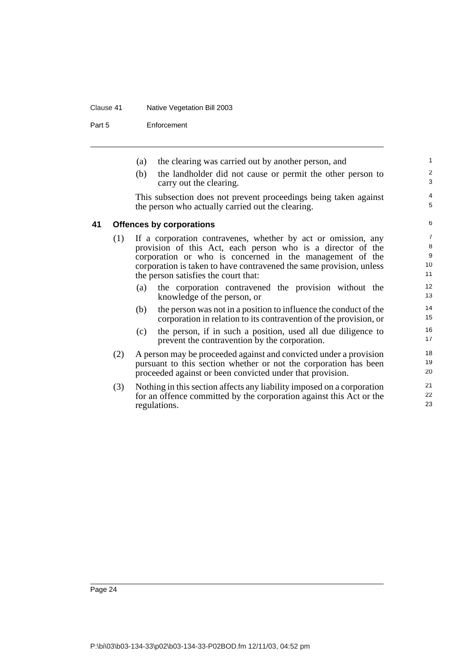### Clause 41 Native Vegetation Bill 2003

Part 5 Enforcement

|    |     | (a) | the clearing was carried out by another person, and                                                                                                                                                                                                                                                     | $\mathbf 1$                          |
|----|-----|-----|---------------------------------------------------------------------------------------------------------------------------------------------------------------------------------------------------------------------------------------------------------------------------------------------------------|--------------------------------------|
|    |     | (b) | the landholder did not cause or permit the other person to<br>carry out the clearing.                                                                                                                                                                                                                   | 2<br>3                               |
|    |     |     | This subsection does not prevent proceedings being taken against<br>the person who actually carried out the clearing.                                                                                                                                                                                   | 4<br>5                               |
| 41 |     |     | <b>Offences by corporations</b>                                                                                                                                                                                                                                                                         | 6                                    |
|    | (1) |     | If a corporation contravenes, whether by act or omission, any<br>provision of this Act, each person who is a director of the<br>corporation or who is concerned in the management of the<br>corporation is taken to have contravened the same provision, unless<br>the person satisfies the court that: | $\overline{7}$<br>8<br>9<br>10<br>11 |
|    |     | (a) | the corporation contravened the provision without the<br>knowledge of the person, or                                                                                                                                                                                                                    | $12 \overline{ }$<br>13              |
|    |     | (b) | the person was not in a position to influence the conduct of the<br>corporation in relation to its contravention of the provision, or                                                                                                                                                                   | 14<br>15                             |
|    |     | (c) | the person, if in such a position, used all due diligence to<br>prevent the contravention by the corporation.                                                                                                                                                                                           | 16<br>17                             |
|    | (2) |     | A person may be proceeded against and convicted under a provision<br>pursuant to this section whether or not the corporation has been<br>proceeded against or been convicted under that provision.                                                                                                      | 18<br>19<br>20                       |
|    | (3) |     | Nothing in this section affects any liability imposed on a corporation<br>for an offence committed by the corporation against this Act or the<br>regulations.                                                                                                                                           | 21<br>22<br>23                       |
|    |     |     |                                                                                                                                                                                                                                                                                                         |                                      |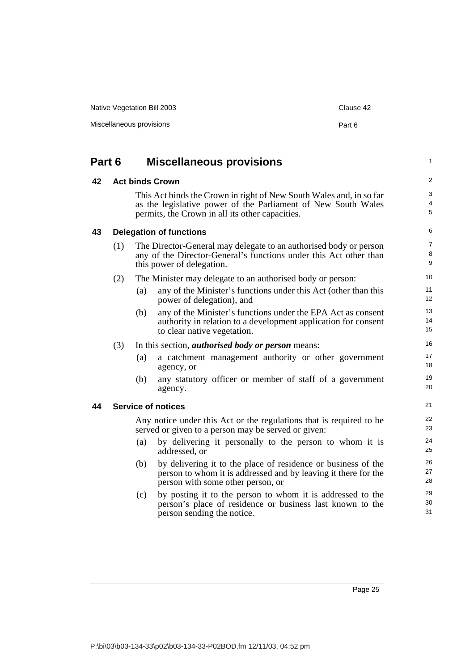| Part 6 |     | <b>Miscellaneous provisions</b>                                                                                                                                                         |
|--------|-----|-----------------------------------------------------------------------------------------------------------------------------------------------------------------------------------------|
| 42     |     | <b>Act binds Crown</b>                                                                                                                                                                  |
|        |     | This Act binds the Crown in right of New South Wales and, in so far<br>as the legislative power of the Parliament of New South Wales<br>permits, the Crown in all its other capacities. |
| 43     |     | <b>Delegation of functions</b>                                                                                                                                                          |
|        | (1) | The Director-General may delegate to an authorised body or person<br>any of the Director-General's functions under this Act other than<br>this power of delegation.                     |
|        | (2) | The Minister may delegate to an authorised body or person:<br>any of the Minister's functions under this Act (other than this<br>(a)                                                    |

(b) any of the Minister's functions under the EPA Act as consent authority in relation to a development application for consent to clear native vegetation.

#### (3) In this section, *authorised body or person* means:

power of delegation), and

- (a) a catchment management authority or other government agency, or
- (b) any statutory officer or member of staff of a government agency.

#### **44 Service of notices**

Any notice under this Act or the regulations that is required to be served or given to a person may be served or given:

- (a) by delivering it personally to the person to whom it is addressed, or
- (b) by delivering it to the place of residence or business of the person to whom it is addressed and by leaving it there for the person with some other person, or
- (c) by posting it to the person to whom it is addressed to the person's place of residence or business last known to the person sending the notice.

Page 25

Native Vegetation Bill 2003 Clause 42

1

Miscellaneous provisions **Part 6**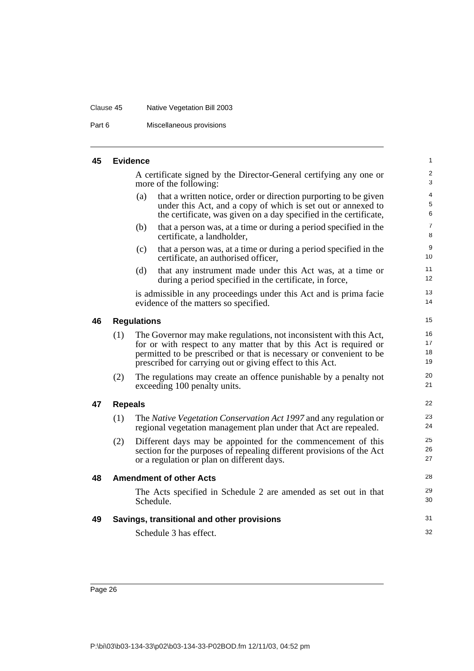#### Clause 45 Native Vegetation Bill 2003

Part 6 Miscellaneous provisions

#### **45 Evidence**

A certificate signed by the Director-General certifying any one or more of the following:

28 29 30

31 32

- (a) that a written notice, order or direction purporting to be given under this Act, and a copy of which is set out or annexed to the certificate, was given on a day specified in the certificate,
- (b) that a person was, at a time or during a period specified in the certificate, a landholder,
- (c) that a person was, at a time or during a period specified in the certificate, an authorised officer,
- (d) that any instrument made under this Act was, at a time or during a period specified in the certificate, in force,

is admissible in any proceedings under this Act and is prima facie evidence of the matters so specified.

#### **46 Regulations**

| (1) | The Governor may make regulations, not inconsistent with this Act,<br>for or with respect to any matter that by this Act is required or<br>permitted to be prescribed or that is necessary or convenient to be<br>prescribed for carrying out or giving effect to this Act. |  |
|-----|-----------------------------------------------------------------------------------------------------------------------------------------------------------------------------------------------------------------------------------------------------------------------------|--|
| (2) | The requisions may create an offence nunishable by a penalty not                                                                                                                                                                                                            |  |

The regulations may create an offence punishable by a penalty not exceeding 100 penalty units.

#### **47 Repeals**

- (1) The *Native Vegetation Conservation Act 1997* and any regulation or regional vegetation management plan under that Act are repealed.
- (2) Different days may be appointed for the commencement of this section for the purposes of repealing different provisions of the Act or a regulation or plan on different days.

#### **48 Amendment of other Acts**

The Acts specified in Schedule 2 are amended as set out in that Schedule.

#### **49 Savings, transitional and other provisions**

Schedule 3 has effect.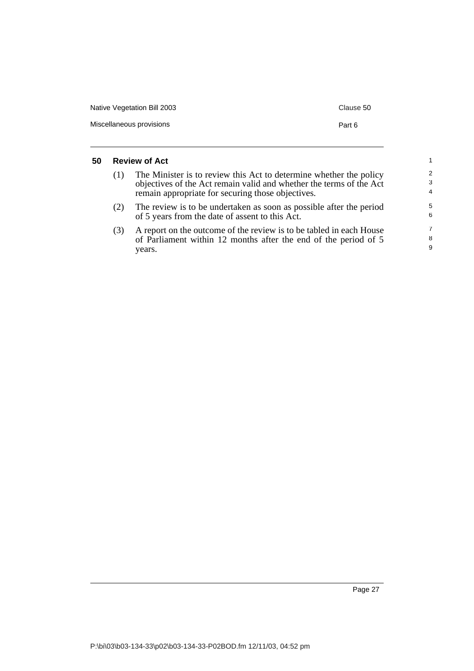| Native Vegetation Bill 2003 | Clause 50 |
|-----------------------------|-----------|
| Miscellaneous provisions    | Part 6    |

### **50 Review of Act**

|     | The Minister is to review this Act to determine whether the policy<br>objectives of the Act remain valid and whether the terms of the Act<br>remain appropriate for securing those objectives. | 2<br>-3<br>$\overline{4}$ |
|-----|------------------------------------------------------------------------------------------------------------------------------------------------------------------------------------------------|---------------------------|
| (2) | The review is to be undertaken as soon as possible after the period<br>of 5 years from the date of assent to this Act.                                                                         | 5<br>6                    |
| (3) | A report on the outcome of the review is to be tabled in each House<br>of Parliament within 12 months after the end of the period of 5<br>years.                                               | 7<br>8<br>9               |

1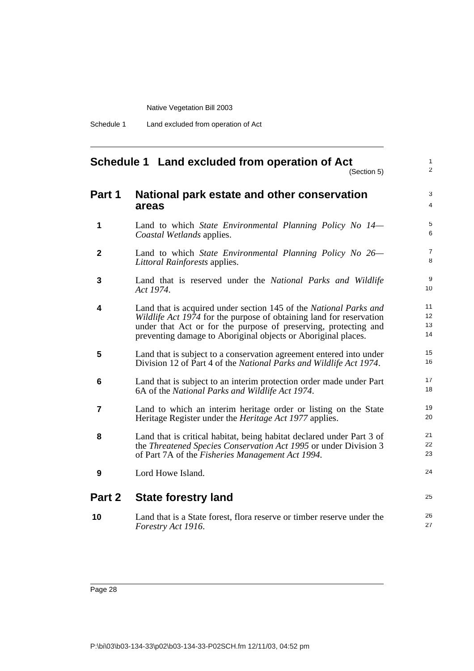| Schedule 1 | Land excluded from operation of Act |  |
|------------|-------------------------------------|--|
|------------|-------------------------------------|--|

|  | Schedule 1 Land excluded from operation of Act |  |
|--|------------------------------------------------|--|
|--|------------------------------------------------|--|

(Section 5)

 

| Part 1       | National park estate and other conservation<br>areas                                                                                                                                                                                                                         | $\mathbf{3}$<br>$\overline{4}$ |
|--------------|------------------------------------------------------------------------------------------------------------------------------------------------------------------------------------------------------------------------------------------------------------------------------|--------------------------------|
| 1            | Land to which State Environmental Planning Policy No 14—<br>Coastal Wetlands applies.                                                                                                                                                                                        | $\,$ 5 $\,$<br>6               |
| $\mathbf{2}$ | Land to which State Environmental Planning Policy No 26—<br>Littoral Rainforests applies.                                                                                                                                                                                    | $\overline{7}$<br>8            |
| 3            | Land that is reserved under the National Parks and Wildlife<br>Act 1974.                                                                                                                                                                                                     | $\boldsymbol{9}$<br>10         |
| 4            | Land that is acquired under section 145 of the National Parks and<br>Wildlife Act 1974 for the purpose of obtaining land for reservation<br>under that Act or for the purpose of preserving, protecting and<br>preventing damage to Aboriginal objects or Aboriginal places. | 11<br>12<br>13<br>14           |
| 5            | Land that is subject to a conservation agreement entered into under<br>Division 12 of Part 4 of the National Parks and Wildlife Act 1974.                                                                                                                                    | 15<br>16                       |
| 6            | Land that is subject to an interim protection order made under Part<br>6A of the National Parks and Wildlife Act 1974.                                                                                                                                                       | 17<br>18                       |
| 7            | Land to which an interim heritage order or listing on the State<br>Heritage Register under the <i>Heritage Act 1977</i> applies.                                                                                                                                             | 19<br>20                       |
| 8            | Land that is critical habitat, being habitat declared under Part 3 of<br>the Threatened Species Conservation Act 1995 or under Division 3<br>of Part 7A of the <i>Fisheries Management Act 1994</i> .                                                                        | 21<br>22<br>23                 |
| 9            | Lord Howe Island.                                                                                                                                                                                                                                                            | 24                             |
|              | Part 2 State forestry land                                                                                                                                                                                                                                                   | 25                             |
| 10           | Land that is a State forest, flora reserve or timber reserve under the<br>Forestry Act 1916.                                                                                                                                                                                 | 26<br>27                       |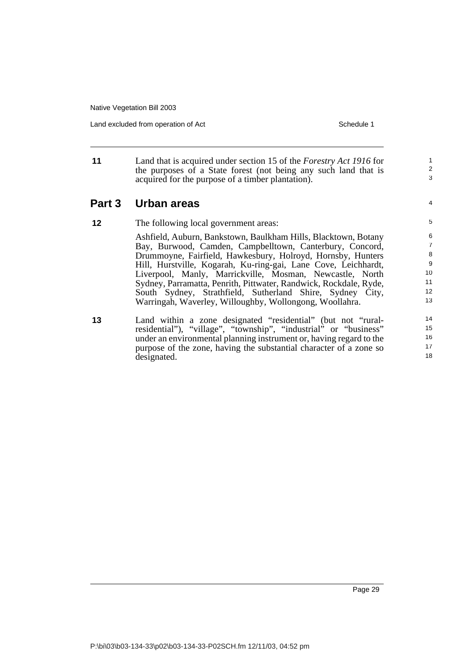Land excluded from operation of Act Schedule 1

1 2 3

4

**11** Land that is acquired under section 15 of the *Forestry Act 1916* for the purposes of a State forest (not being any such land that is acquired for the purpose of a timber plantation).

## **Part 3 Urban areas**

**12** The following local government areas:

Ashfield, Auburn, Bankstown, Baulkham Hills, Blacktown, Botany Bay, Burwood, Camden, Campbelltown, Canterbury, Concord, Drummoyne, Fairfield, Hawkesbury, Holroyd, Hornsby, Hunters Hill, Hurstville, Kogarah, Ku-ring-gai, Lane Cove, Leichhardt, Liverpool, Manly, Marrickville, Mosman, Newcastle, North Sydney, Parramatta, Penrith, Pittwater, Randwick, Rockdale, Ryde, South Sydney, Strathfield, Sutherland Shire, Sydney City, Warringah, Waverley, Willoughby, Wollongong, Woollahra.

**13** Land within a zone designated "residential" (but not "ruralresidential"), "village", "township", "industrial" or "business" under an environmental planning instrument or, having regard to the purpose of the zone, having the substantial character of a zone so designated.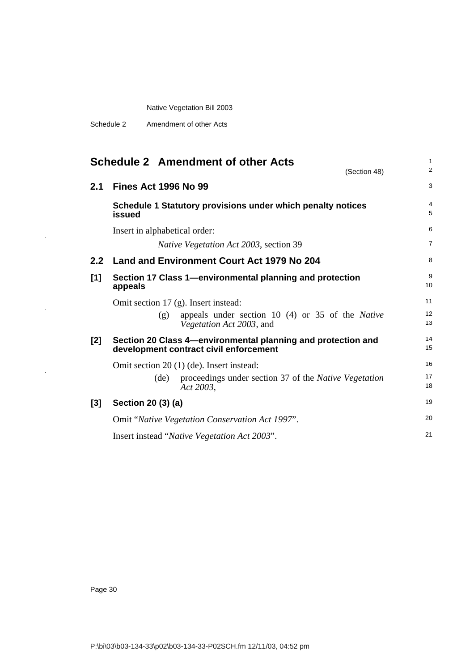Schedule 2 Amendment of other Acts

|               | <b>Schedule 2 Amendment of other Acts</b><br>(Section 48)                                              | $\mathbf{1}$<br>2   |
|---------------|--------------------------------------------------------------------------------------------------------|---------------------|
| 2.1           | <b>Fines Act 1996 No 99</b>                                                                            | 3                   |
|               | Schedule 1 Statutory provisions under which penalty notices<br>issued                                  | $\overline{4}$<br>5 |
|               | Insert in alphabetical order:                                                                          | 6                   |
|               | Native Vegetation Act 2003, section 39                                                                 | $\overline{7}$      |
| $2.2^{\circ}$ | Land and Environment Court Act 1979 No 204                                                             | 8                   |
| [1]           | Section 17 Class 1—environmental planning and protection<br>appeals                                    | 9<br>10             |
|               | Omit section $17$ (g). Insert instead:                                                                 | 11                  |
|               | appeals under section 10 $(4)$ or 35 of the <i>Native</i><br>(g)<br>Vegetation Act 2003, and           | 12<br>13            |
| [2]           | Section 20 Class 4—environmental planning and protection and<br>development contract civil enforcement | 14<br>15            |
|               | Omit section 20 (1) (de). Insert instead:                                                              | 16                  |
|               | proceedings under section 37 of the Native Vegetation<br>(de)<br>Act 2003,                             | 17<br>18            |
| $[3]$         | Section 20 (3) (a)                                                                                     | 19                  |
|               | Omit "Native Vegetation Conservation Act 1997".                                                        | 20                  |
|               | Insert instead " <i>Native Vegetation Act 2003</i> ".                                                  | 21                  |

Page 30

 $\ddot{\phantom{a}}$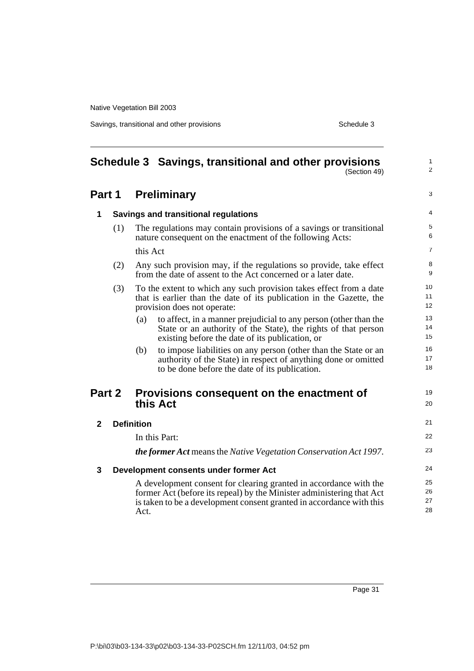Savings, transitional and other provisions Schedule 3

| Schedule 3 Savings, transitional and other provisions<br>(Section 49) |        |                   | $\mathbf{1}$<br>2                                                                                                                                                                                                  |                      |
|-----------------------------------------------------------------------|--------|-------------------|--------------------------------------------------------------------------------------------------------------------------------------------------------------------------------------------------------------------|----------------------|
|                                                                       | Part 1 |                   | <b>Preliminary</b>                                                                                                                                                                                                 | 3                    |
| 1                                                                     |        |                   | <b>Savings and transitional regulations</b>                                                                                                                                                                        | 4                    |
|                                                                       | (1)    |                   | The regulations may contain provisions of a savings or transitional<br>nature consequent on the enactment of the following Acts:                                                                                   | 5<br>6               |
|                                                                       |        | this Act          |                                                                                                                                                                                                                    | $\overline{7}$       |
|                                                                       | (2)    |                   | Any such provision may, if the regulations so provide, take effect<br>from the date of assent to the Act concerned or a later date.                                                                                | 8<br>9               |
|                                                                       | (3)    |                   | To the extent to which any such provision takes effect from a date<br>that is earlier than the date of its publication in the Gazette, the<br>provision does not operate:                                          | 10<br>11<br>12       |
|                                                                       |        | (a)               | to affect, in a manner prejudicial to any person (other than the<br>State or an authority of the State), the rights of that person<br>existing before the date of its publication, or                              | 13<br>14<br>15       |
|                                                                       |        | (b)               | to impose liabilities on any person (other than the State or an<br>authority of the State) in respect of anything done or omitted<br>to be done before the date of its publication.                                | 16<br>17<br>18       |
| Part 2                                                                |        |                   | Provisions consequent on the enactment of<br>this Act                                                                                                                                                              | 19<br>20             |
| $\mathbf{2}$                                                          |        | <b>Definition</b> |                                                                                                                                                                                                                    | 21                   |
|                                                                       |        |                   | In this Part:                                                                                                                                                                                                      | 22                   |
|                                                                       |        |                   | the former Act means the Native Vegetation Conservation Act 1997.                                                                                                                                                  | 23                   |
| 3                                                                     |        |                   | Development consents under former Act                                                                                                                                                                              | 24                   |
|                                                                       |        | Act.              | A development consent for clearing granted in accordance with the<br>former Act (before its repeal) by the Minister administering that Act<br>is taken to be a development consent granted in accordance with this | 25<br>26<br>27<br>28 |